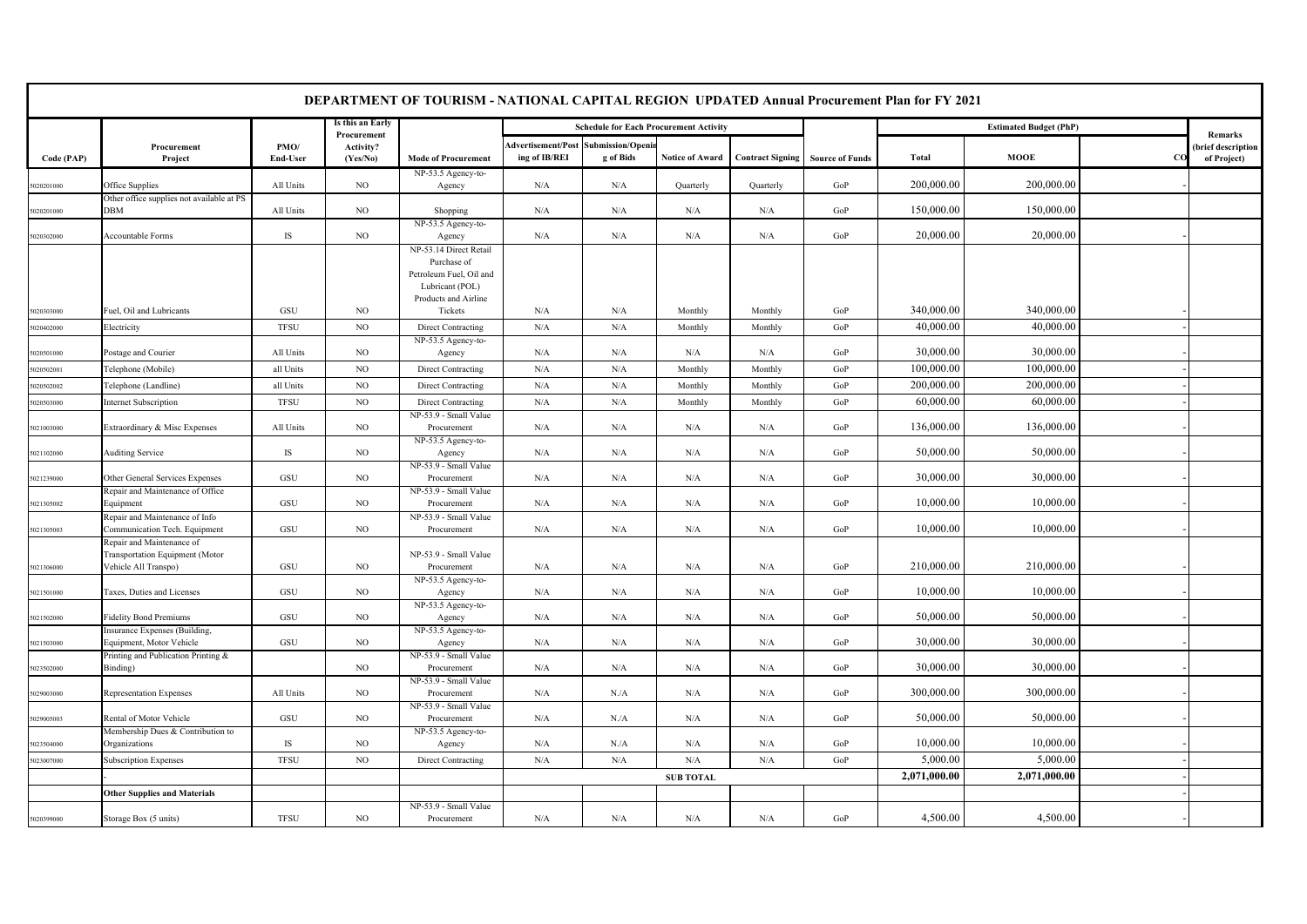|            |                                                                                                                       |                  |                                      | DEPARTMENT OF TOURISM - NATIONAL CAPITAL REGION UPDATED Annual Procurement Plan for FY 2021                 |                                                      |                                               |                        |                         |                        |              |                               |          |                                              |
|------------|-----------------------------------------------------------------------------------------------------------------------|------------------|--------------------------------------|-------------------------------------------------------------------------------------------------------------|------------------------------------------------------|-----------------------------------------------|------------------------|-------------------------|------------------------|--------------|-------------------------------|----------|----------------------------------------------|
|            |                                                                                                                       |                  | Is this an Early                     |                                                                                                             |                                                      | <b>Schedule for Each Procurement Activity</b> |                        |                         |                        |              | <b>Estimated Budget (PhP)</b> |          |                                              |
| Code (PAP) | Procurement<br>Project                                                                                                | PMO/<br>End-User | Procurement<br>Activity?<br>(Yes/No) | <b>Mode of Procurement</b>                                                                                  | Advertisement/Post Submission/Openi<br>ing of IB/REI | g of Bids                                     | <b>Notice of Award</b> | <b>Contract Signing</b> | <b>Source of Funds</b> | Total        | <b>MOOE</b>                   | $\alpha$ | Remarks<br>(brief description<br>of Project) |
| 020201000  | Office Supplies                                                                                                       | All Units        | NO                                   | NP-53.5 Agency-to-<br>Agency                                                                                | N/A                                                  | N/A                                           | Quarterly              | Quarterly               | GoP                    | 200,000.00   | 200,000.00                    |          |                                              |
|            | Other office supplies not available at PS                                                                             |                  |                                      |                                                                                                             |                                                      |                                               |                        |                         |                        |              |                               |          |                                              |
| 5020201000 | DBM                                                                                                                   | All Units        | NO.                                  | Shopping                                                                                                    | N/A                                                  | N/A                                           | N/A                    | N/A                     | GoP                    | 150,000.00   | 150,000.00                    |          |                                              |
| 5020302000 | Accountable Forms                                                                                                     | IS               | NO                                   | NP-53.5 Agency-to-<br>Agency                                                                                | N/A                                                  | N/A                                           | N/A                    | N/A                     | GoP                    | 20,000.00    | 20,000.00                     |          |                                              |
|            |                                                                                                                       |                  |                                      | NP-53.14 Direct Retail<br>Purchase of<br>Petroleum Fuel, Oil and<br>Lubricant (POL)<br>Products and Airline |                                                      |                                               |                        |                         |                        |              |                               |          |                                              |
| 5020303000 | Fuel, Oil and Lubricants                                                                                              | GSU              | NO.                                  | Tickets                                                                                                     | N/A                                                  | N/A                                           | Monthly                | Monthly                 | GoP                    | 340,000.00   | 340,000.00                    |          |                                              |
| 5020402000 | Electricity                                                                                                           | <b>TFSU</b>      | $_{\rm NO}$                          | Direct Contracting                                                                                          | N/A                                                  | N/A                                           | Monthly                | Monthly                 | GoP                    | 40,000.00    | 40,000.00                     |          |                                              |
| 5020501000 | Postage and Courier                                                                                                   | All Units        | NO.                                  | NP-53.5 Agency-to-<br>Agency                                                                                | N/A                                                  | N/A                                           | N/A                    | N/A                     | GoP                    | 30,000.00    | 30,000.00                     |          |                                              |
| 5020502001 | Telephone (Mobile)                                                                                                    | all Units        | $_{\rm NO}$                          | Direct Contracting                                                                                          | N/A                                                  | N/A                                           | Monthly                | Monthly                 | GoP                    | 100,000.00   | 100,000.00                    |          |                                              |
| 5020502002 | Telephone (Landline)                                                                                                  | all Units        | $_{\rm NO}$                          | Direct Contracting                                                                                          | N/A                                                  | N/A                                           | Monthly                | Monthly                 | GoP                    | 200,000.00   | 200,000.00                    |          |                                              |
| 5020503000 | <b>Internet Subscription</b>                                                                                          | <b>TFSU</b>      | $_{\rm NO}$                          | Direct Contracting                                                                                          | N/A                                                  | N/A                                           | Monthly                | Monthly                 | GoP                    | 60,000.00    | 60,000.00                     |          |                                              |
| 5021003000 | Extraordinary & Misc Expenses                                                                                         | All Units        | NO.                                  | NP-53.9 - Small Value<br>Procurement                                                                        | N/A                                                  | N/A                                           | N/A                    | N/A                     | GoP                    | 136,000.00   | 136,000.00                    |          |                                              |
| 5021102000 | <b>Auditing Service</b>                                                                                               | IS               | NO.                                  | NP-53.5 Agency-to-<br>Agency                                                                                | N/A                                                  | N/A                                           | N/A                    | N/A                     | GoP                    | 50,000.00    | 50,000.00                     |          |                                              |
| 5021239000 | Other General Services Expenses                                                                                       | GSU              | NO                                   | NP-53.9 - Small Value<br>Procurement                                                                        | N/A                                                  | N/A                                           | N/A                    | N/A                     | GoP                    | 30,000.00    | 30,000.00                     |          |                                              |
| 5021305002 | Repair and Maintenance of Office<br>Equipment                                                                         | GSU              | $_{\rm NO}$                          | NP-53.9 - Small Value<br>Procurement                                                                        | N/A                                                  | N/A                                           | N/A                    | N/A                     | GoP                    | 10,000.00    | 10,000.00                     |          |                                              |
|            | Repair and Maintenance of Info                                                                                        | GSU              |                                      | NP-53.9 - Small Value                                                                                       |                                                      |                                               |                        |                         |                        | 10,000.00    | 10,000.00                     |          |                                              |
| 5021305003 | Communication Tech. Equipment<br>Repair and Maintenance of<br>Transportation Equipment (Motor<br>Vehicle All Transpo) | GSU              | NO.<br>NO                            | Procurement<br>NP-53.9 - Small Value                                                                        | N/A<br>N/A                                           | N/A<br>N/A                                    | N/A<br>N/A             | N/A<br>N/A              | GoP<br>GoP             | 210,000.00   | 210,000.00                    |          |                                              |
| 5021306000 |                                                                                                                       |                  |                                      | Procurement<br>NP-53.5 Agency-to-                                                                           |                                                      |                                               |                        |                         |                        |              |                               |          |                                              |
| 5021501000 | Taxes, Duties and Licenses                                                                                            | GSU              | NO                                   | Agency                                                                                                      | N/A                                                  | N/A                                           | N/A                    | N/A                     | GoP                    | 10,000.00    | 10,000.00                     |          |                                              |
| 5021502000 | <b>Fidelity Bond Premiums</b>                                                                                         | GSU              | NO                                   | NP-53.5 Agency-to-<br>Agency                                                                                | N/A                                                  | N/A                                           | N/A                    | N/A                     | GoP                    | 50,000.00    | 50,000.00                     |          |                                              |
| 5021503000 | Insurance Expenses (Building,<br>Equipment, Motor Vehicle                                                             | GSU              | NO                                   | NP-53.5 Agency-to-<br>Agency                                                                                | N/A                                                  | N/A                                           | N/A                    | N/A                     | GoP                    | 30,000.00    | 30,000.00                     |          |                                              |
| 5023502000 | Printing and Publication Printing &<br>Binding)                                                                       |                  | NO                                   | NP-53.9 - Small Value<br>Procurement                                                                        | N/A                                                  | N/A                                           | N/A                    | N/A                     | GoP                    | 30,000.00    | 30,000.00                     |          |                                              |
| 5029003000 | <b>Representation Expenses</b>                                                                                        | All Units        | $_{\rm NO}$                          | NP-53.9 - Small Value<br>Procurement                                                                        | N/A                                                  | N.A                                           | $\rm N/A$              | N/A                     | GoP                    | 300,000.00   | 300,000.00                    |          |                                              |
| 029005003  | Rental of Motor Vehicle                                                                                               | GSU              | NO                                   | NP-53.9 - Small Value<br>Procurement                                                                        | N/A                                                  | N.A                                           | N/A                    | N/A                     | GoP                    | 50,000.00    | 50,000.00                     |          |                                              |
|            | Membership Dues & Contribution to                                                                                     | IS               |                                      | NP-53.5 Agency-to-                                                                                          |                                                      |                                               |                        |                         |                        | 10,000.00    | 10,000.00                     |          |                                              |
| 5023504000 | Organizations                                                                                                         | <b>TFSU</b>      | NO<br>NO                             | Agency<br>Direct Contracting                                                                                | N/A<br>N/A                                           | N.A<br>N/A                                    | N/A<br>N/A             | N/A<br>N/A              | GoP<br>GoP             | 5,000.00     | 5,000.00                      |          |                                              |
| 5023007000 | <b>Subscription Expenses</b>                                                                                          |                  |                                      |                                                                                                             |                                                      |                                               | <b>SUB TOTAL</b>       |                         |                        | 2,071,000.00 | 2,071,000.00                  |          |                                              |
|            | <b>Other Supplies and Materials</b>                                                                                   |                  |                                      |                                                                                                             |                                                      |                                               |                        |                         |                        |              |                               |          |                                              |
| 5020399000 | Storage Box (5 units)                                                                                                 | <b>TFSU</b>      | NO.                                  | NP-53.9 - Small Value<br>Procurement                                                                        | N/A                                                  | N/A                                           | N/A                    | N/A                     | GoP                    | 4,500.00     | 4,500.00                      |          |                                              |
|            |                                                                                                                       |                  |                                      |                                                                                                             |                                                      |                                               |                        |                         |                        |              |                               |          |                                              |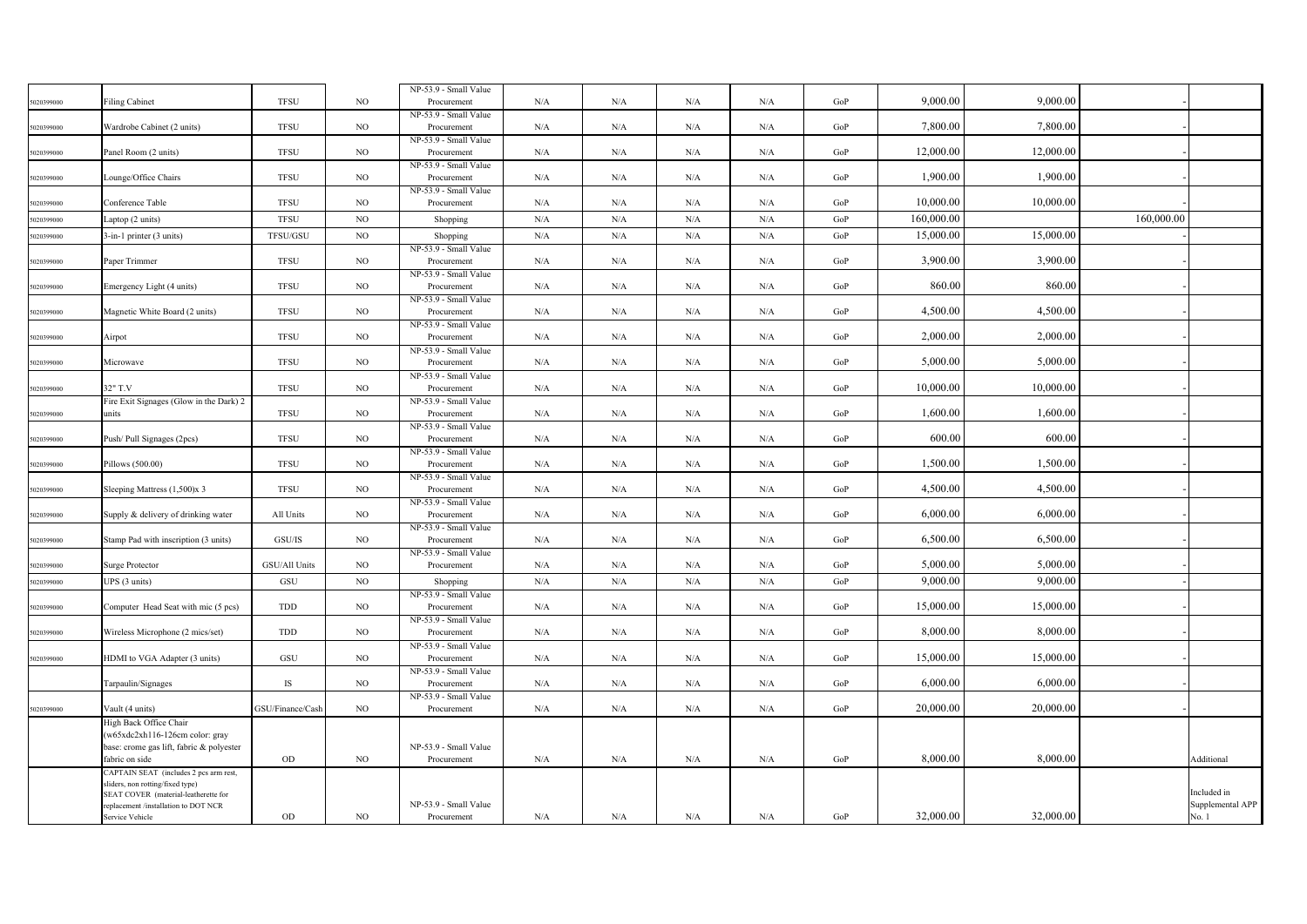|            |                                                                          |                  |             | NP-53.9 - Small Value                |     |           |           |     |           |            |           |            |                  |
|------------|--------------------------------------------------------------------------|------------------|-------------|--------------------------------------|-----|-----------|-----------|-----|-----------|------------|-----------|------------|------------------|
| 5020399000 | <b>Filing Cabinet</b>                                                    | <b>TFSU</b>      | NO.         | Procurement                          | N/A | N/A       | N/A       | N/A | GoP       | 9,000.00   | 9,000.00  |            |                  |
|            |                                                                          |                  |             | NP-53.9 - Small Value                |     |           |           |     |           |            |           |            |                  |
| 5020399000 | Wardrobe Cabinet (2 units)                                               | <b>TFSU</b>      | $_{\rm NO}$ | Procurement                          | N/A | N/A       | N/A       | N/A | GoP       | 7,800.00   | 7,800.00  |            |                  |
|            |                                                                          |                  |             | NP-53.9 - Small Value                |     |           |           |     |           |            |           |            |                  |
| 5020399000 | Panel Room (2 units)                                                     | <b>TFSU</b>      | $_{\rm NO}$ | Procurement<br>NP-53.9 - Small Value | N/A | N/A       | N/A       | N/A | GoP       | 12,000.00  | 12,000.00 |            |                  |
| 5020399000 | Lounge/Office Chairs                                                     | <b>TFSU</b>      | NO.         | Procurement                          | N/A | N/A       | N/A       | N/A | GoP       | 1,900.00   | 1,900.00  |            |                  |
|            |                                                                          |                  |             | NP-53.9 - Small Value                |     |           |           |     |           |            |           |            |                  |
| 5020399000 | Conference Table                                                         | <b>TFSU</b>      | NO.         | Procurement                          | N/A | N/A       | N/A       | N/A | GoP       | 10,000.00  | 10,000.00 |            |                  |
| 6020399000 | Laptop (2 units)                                                         | <b>TFSU</b>      | $_{\rm NO}$ | Shopping                             | N/A | N/A       | N/A       | N/A | GoP       | 160,000.00 |           | 160,000.00 |                  |
| 5020399000 | 3-in-1 printer (3 units)                                                 | TFSU/GSU         | NO          | Shopping                             | N/A | N/A       | N/A       | N/A | GoP       | 15,000.00  | 15,000.00 |            |                  |
|            |                                                                          |                  |             | NP-53.9 - Small Value                |     |           |           |     |           |            |           |            |                  |
| 5020399000 | Paper Trimmer                                                            | <b>TFSU</b>      | NO          | Procurement                          | N/A | N/A       | N/A       | N/A | GoP       | 3,900.00   | 3,900.00  |            |                  |
|            |                                                                          |                  |             | NP-53.9 - Small Value                |     |           |           |     |           |            |           |            |                  |
| 5020399000 | Emergency Light (4 units)                                                | <b>TFSU</b>      | $_{\rm NO}$ | Procurement                          | N/A | N/A       | N/A       | N/A | GoP       | 860.00     | 860.00    |            |                  |
|            |                                                                          |                  |             | NP-53.9 - Small Value                |     |           |           |     |           |            |           |            |                  |
| 5020399000 | Magnetic White Board (2 units)                                           | <b>TFSU</b>      | NO.         | Procurement<br>NP-53.9 - Small Value | N/A | N/A       | N/A       | N/A | GoP       | 4,500.00   | 4,500.00  |            |                  |
| 5020399000 | Airpot                                                                   | <b>TFSU</b>      | NO.         | Procurement                          | N/A | N/A       | N/A       | N/A | GoP       | 2,000.00   | 2,000.00  |            |                  |
|            |                                                                          |                  |             | NP-53.9 - Small Value                |     |           |           |     |           |            |           |            |                  |
| 5020399000 | Microwave                                                                | <b>TFSU</b>      | $_{\rm NO}$ | Procurement                          | N/A | N/A       | N/A       | N/A | GoP       | 5,000.00   | 5,000.00  |            |                  |
|            |                                                                          |                  |             | NP-53.9 - Small Value                |     |           |           |     |           |            |           |            |                  |
| 5020399000 | 32" T.V                                                                  | <b>TFSU</b>      | $_{\rm NO}$ | Procurement                          | N/A | N/A       | $\rm N/A$ | N/A | GoP       | 10,000.00  | 10,000.00 |            |                  |
|            | Fire Exit Signages (Glow in the Dark) 2<br>units                         | <b>TFSU</b>      | $_{\rm NO}$ | NP-53.9 - Small Value<br>Procurement | N/A | N/A       | N/A       | N/A | GoP       | 1,600.00   | 1,600.00  |            |                  |
| 5020399000 |                                                                          |                  |             | NP-53.9 - Small Value                |     |           |           |     |           |            |           |            |                  |
| 5020399000 | Push/Pull Signages (2pcs)                                                | <b>TFSU</b>      | NO.         | Procurement                          | N/A | N/A       | N/A       | N/A | GoP       | 600.00     | 600.00    |            |                  |
|            |                                                                          |                  |             | NP-53.9 - Small Value                |     |           |           |     |           |            |           |            |                  |
| 5020399000 | Pillows (500.00)                                                         | <b>TFSU</b>      | NO          | Procurement                          | N/A | N/A       | N/A       | N/A | GoP       | 1,500.00   | 1,500.00  |            |                  |
|            |                                                                          |                  |             | NP-53.9 - Small Value                |     |           |           |     |           |            |           |            |                  |
| 5020399000 | Sleeping Mattress (1,500)x 3                                             | <b>TFSU</b>      | NO          | Procurement                          | N/A | N/A       | N/A       | N/A | GoP       | 4,500.00   | 4,500.00  |            |                  |
| 5020399000 | Supply & delivery of drinking water                                      | All Units        | $_{\rm NO}$ | NP-53.9 - Small Value<br>Procurement | N/A | $\rm N/A$ | $\rm N/A$ | N/A | $\rm GoP$ | 6,000.00   | 6,000.00  |            |                  |
|            |                                                                          |                  |             | NP-53.9 - Small Value                |     |           |           |     |           |            |           |            |                  |
| 5020399000 | Stamp Pad with inscription (3 units)                                     | GSU/IS           | NO.         | Procurement                          | N/A | N/A       | N/A       | N/A | GoP       | 6,500.00   | 6,500.00  |            |                  |
|            |                                                                          |                  |             | NP-53.9 - Small Value                |     |           |           |     |           |            |           |            |                  |
| 5020399000 | Surge Protector                                                          | GSU/All Units    | NO          | Procurement                          | N/A | N/A       | N/A       | N/A | GoP       | 5,000.00   | 5,000.00  |            |                  |
| 5020399000 | UPS (3 units)                                                            | GSU              | $_{\rm NO}$ | Shopping                             | N/A | N/A       | N/A       | N/A | GoP       | 9,000.00   | 9,000.00  |            |                  |
|            |                                                                          |                  |             | NP-53.9 - Small Value                |     |           |           |     |           |            |           |            |                  |
| 5020399000 | Computer Head Seat with mic (5 pcs)                                      | TDD              | $_{\rm NO}$ | Procurement                          | N/A | N/A       | N/A       | N/A | GoP       | 15,000.00  | 15,000.00 |            |                  |
| 5020399000 | Wireless Microphone (2 mics/set)                                         | TDD              | NO.         | NP-53.9 - Small Value<br>Procurement | N/A | N/A       | N/A       | N/A | GoP       | 8,000.00   | 8,000.00  |            |                  |
|            |                                                                          |                  |             | NP-53.9 - Small Value                |     |           |           |     |           |            |           |            |                  |
| 5020399000 | HDMI to VGA Adapter (3 units)                                            | GSU              | NO          | Procurement                          | N/A | N/A       | N/A       | N/A | GoP       | 15,000.00  | 15,000.00 |            |                  |
|            |                                                                          |                  |             | NP-53.9 - Small Value                |     |           |           |     |           |            |           |            |                  |
|            | Tarpaulin/Signages                                                       | IS               | NO.         | Procurement                          | N/A | N/A       | N/A       | N/A | GoP       | 6,000.00   | 6,000.00  |            |                  |
|            |                                                                          |                  |             | NP-53.9 - Small Value                |     |           |           |     |           |            |           |            |                  |
| 5020399000 | Vault (4 units)                                                          | GSU/Finance/Cash | $_{\rm NO}$ | Procurement                          | N/A | N/A       | N/A       | N/A | GoP       | 20,000.00  | 20,000.00 |            |                  |
|            | High Back Office Chair<br>(w65xdc2xh116-126cm color: gray                |                  |             |                                      |     |           |           |     |           |            |           |            |                  |
|            | base: crome gas lift, fabric & polyester                                 |                  |             | NP-53.9 - Small Value                |     |           |           |     |           |            |           |            |                  |
|            | fabric on side                                                           | OD               | NO.         | Procurement                          | N/A | N/A       | N/A       | N/A | GoP       | 8,000.00   | 8,000.00  |            | Additional       |
|            | CAPTAIN SEAT (includes 2 pcs arm rest,                                   |                  |             |                                      |     |           |           |     |           |            |           |            |                  |
|            | sliders, non rotting/fixed type)<br>SEAT COVER (material-leatherette for |                  |             |                                      |     |           |           |     |           |            |           |            | Included in      |
|            | replacement /installation to DOT NCR                                     |                  |             | NP-53.9 - Small Value                |     |           |           |     |           |            |           |            | Supplemental APP |
|            | Service Vehicle                                                          | $_{\rm OD}$      | NO.         | Procurement                          | N/A | N/A       | N/A       | N/A | GoP       | 32,000.00  | 32,000.00 |            | No. 1            |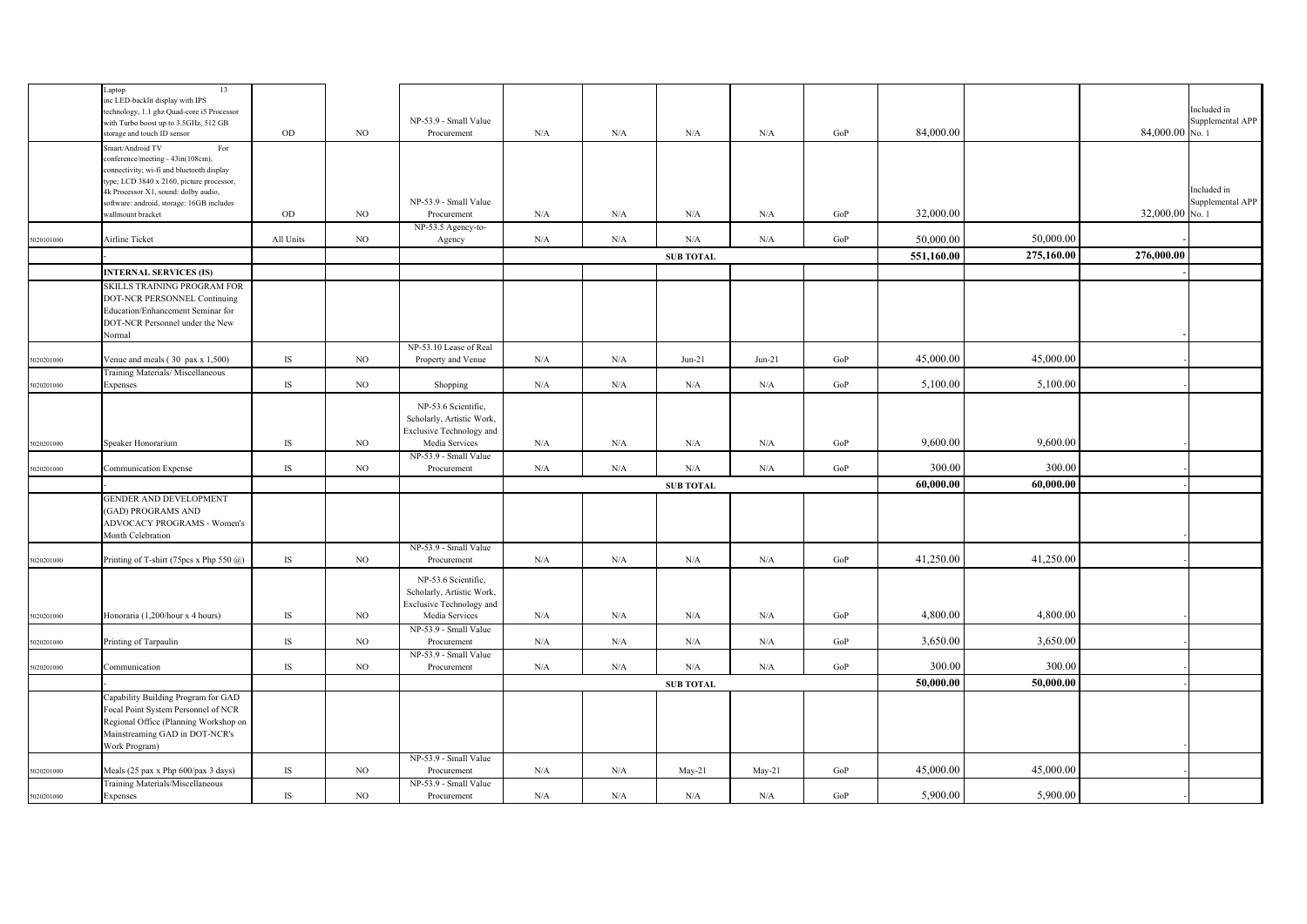|            | 13<br>Laptop                                |               |             |                           |           |             |                  |           |           |            |            |                 |                  |
|------------|---------------------------------------------|---------------|-------------|---------------------------|-----------|-------------|------------------|-----------|-----------|------------|------------|-----------------|------------------|
|            | nc LED-backlit display with IPS             |               |             |                           |           |             |                  |           |           |            |            |                 | Included in      |
|            | technology, 1.1 ghz Quad-core i5 Processor  |               |             |                           |           |             |                  |           |           |            |            |                 |                  |
|            | with Turbo boost up to 3.5GHz, 512 GB       |               |             | NP-53.9 - Small Value     |           |             |                  |           |           |            |            |                 | Supplemental APP |
|            | storage and touch ID sensor                 | $_{\rm OD}$   | NO          | Procurement               | N/A       | ${\rm N/A}$ | $\rm N/A$        | N/A       | GoP       | 84,000.00  |            | 84,000.00 No. 1 |                  |
|            | Smart/Android TV<br>For                     |               |             |                           |           |             |                  |           |           |            |            |                 |                  |
|            | conference/meeting - 43in(108cm),           |               |             |                           |           |             |                  |           |           |            |            |                 |                  |
|            | connectivity; wi-fi and bluetooth display   |               |             |                           |           |             |                  |           |           |            |            |                 |                  |
|            | type; LCD 3840 x 2160, picture processor,   |               |             |                           |           |             |                  |           |           |            |            |                 |                  |
|            | 4k Processor X1, sound: dolby audio,        |               |             |                           |           |             |                  |           |           |            |            |                 | Included in      |
|            | software: android, storage: 16GB includes   |               |             | NP-53.9 - Small Value     |           |             |                  |           |           |            |            |                 | Supplemental APP |
|            | wallmount bracket                           | OD            | NO          | Procurement               | N/A       | N/A         | N/A              | N/A       | GoP       | 32,000.00  |            | 32,000.00 No. 1 |                  |
|            |                                             |               |             | NP-53.5 Agency-to-        |           |             |                  |           |           |            |            |                 |                  |
| 5020101000 | Airline Ticket                              | All Units     | NO          | Agency                    | N/A       | N/A         | $\rm N/A$        | $\rm N/A$ | $\rm GoP$ | 50,000.00  | 50,000.00  |                 |                  |
|            |                                             |               |             |                           |           |             |                  |           |           |            |            |                 |                  |
|            |                                             |               |             |                           |           |             | <b>SUB TOTAL</b> |           |           | 551,160.00 | 275,160.00 | 276,000.00      |                  |
|            | <b>INTERNAL SERVICES (IS)</b>               |               |             |                           |           |             |                  |           |           |            |            |                 |                  |
|            | SKILLS TRAINING PROGRAM FOR                 |               |             |                           |           |             |                  |           |           |            |            |                 |                  |
|            | DOT-NCR PERSONNEL Continuing                |               |             |                           |           |             |                  |           |           |            |            |                 |                  |
|            |                                             |               |             |                           |           |             |                  |           |           |            |            |                 |                  |
|            | Education/Enhancement Seminar for           |               |             |                           |           |             |                  |           |           |            |            |                 |                  |
|            | DOT-NCR Personnel under the New             |               |             |                           |           |             |                  |           |           |            |            |                 |                  |
|            | Normal                                      |               |             |                           |           |             |                  |           |           |            |            |                 |                  |
|            |                                             |               |             | NP-53.10 Lease of Real    |           |             |                  |           |           |            |            |                 |                  |
| 5020201000 | Venue and meals $(30 \text{ pax x } 1,500)$ | IS            | NO          | Property and Venue        | N/A       | N/A         | $Jun-21$         | $Jun-21$  | GoP       | 45,000.00  | 45,000.00  |                 |                  |
|            | Training Materials/ Miscellaneous           |               |             |                           |           |             |                  |           |           |            |            |                 |                  |
| 5020201000 | Expenses                                    | $\mathbf{IS}$ | NO          | Shopping                  | $\rm N/A$ | $\rm N/A$   | $\rm N/A$        | $\rm N/A$ | GoP       | 5,100.00   | 5,100.00   |                 |                  |
|            |                                             |               |             |                           |           |             |                  |           |           |            |            |                 |                  |
|            |                                             |               |             | NP-53.6 Scientific,       |           |             |                  |           |           |            |            |                 |                  |
|            |                                             |               |             | Scholarly, Artistic Work, |           |             |                  |           |           |            |            |                 |                  |
|            |                                             |               |             | Exclusive Technology and  |           |             |                  |           |           |            |            |                 |                  |
| 5020201000 | Speaker Honorarium                          | IS            | $_{\rm NO}$ | Media Services            | N/A       | ${\rm N/A}$ | $\rm N/A$        | $\rm N/A$ | GoP       | 9,600.00   | 9,600.00   |                 |                  |
|            |                                             |               |             |                           |           |             |                  |           |           |            |            |                 |                  |
|            |                                             |               |             | NP-53.9 - Small Value     |           |             |                  |           |           |            |            |                 |                  |
| 5020201000 | Communication Expense                       | IS            | NO          | Procurement               | N/A       | N/A         | N/A              | $\rm N/A$ | GoP       | 300.00     | 300.00     |                 |                  |
|            |                                             |               |             |                           |           |             | <b>SUB TOTAL</b> |           |           | 60,000.00  | 60,000.00  |                 |                  |
|            | GENDER AND DEVELOPMENT                      |               |             |                           |           |             |                  |           |           |            |            |                 |                  |
|            | <b>GAD) PROGRAMS AND</b>                    |               |             |                           |           |             |                  |           |           |            |            |                 |                  |
|            |                                             |               |             |                           |           |             |                  |           |           |            |            |                 |                  |
|            | ADVOCACY PROGRAMS - Women's                 |               |             |                           |           |             |                  |           |           |            |            |                 |                  |
|            | Month Celebration                           |               |             |                           |           |             |                  |           |           |            |            |                 |                  |
|            |                                             |               |             | NP-53.9 - Small Value     |           |             |                  |           |           |            |            |                 |                  |
| 5020201000 | Printing of T-shirt (75pcs x Php 550 @)     | IS            | NO          | Procurement               | N/A       | N/A         | N/A              | N/A       | GoP       | 41,250.00  | 41,250.00  |                 |                  |
|            |                                             |               |             |                           |           |             |                  |           |           |            |            |                 |                  |
|            |                                             |               |             | NP-53.6 Scientific,       |           |             |                  |           |           |            |            |                 |                  |
|            |                                             |               |             | Scholarly, Artistic Work, |           |             |                  |           |           |            |            |                 |                  |
|            |                                             |               |             | Exclusive Technology and  |           |             |                  |           |           |            |            |                 |                  |
| 5020201000 | Honoraria (1,200/hour x 4 hours)            | IS            | $_{\rm NO}$ | Media Services            | N/A       | ${\rm N/A}$ | $\rm N/A$        | $\rm N/A$ | GoP       | 4,800.00   | 4,800.00   |                 |                  |
|            |                                             |               |             | NP-53.9 - Small Value     |           |             |                  |           |           |            |            |                 |                  |
| 5020201000 | Printing of Tarpaulin                       | IS            | NO          | Procurement               | N/A       | N/A         | N/A              | N/A       | GoP       | 3,650.00   | 3,650.00   |                 |                  |
|            |                                             |               |             | NP-53.9 - Small Value     |           |             |                  |           |           |            |            |                 |                  |
| 5020201000 | Communication                               | IS            | NO          | Procurement               | N/A       | N/A         | $\rm N/A$        | $\rm N/A$ | GoP       | 300.00     | 300.00     |                 |                  |
|            |                                             |               |             |                           |           |             |                  |           |           |            |            |                 |                  |
|            |                                             |               |             |                           |           |             | <b>SUB TOTAL</b> |           |           | 50,000.00  | 50,000.00  |                 |                  |
|            | Capability Building Program for GAD         |               |             |                           |           |             |                  |           |           |            |            |                 |                  |
|            | Focal Point System Personnel of NCR         |               |             |                           |           |             |                  |           |           |            |            |                 |                  |
|            | Regional Office (Planning Workshop on       |               |             |                           |           |             |                  |           |           |            |            |                 |                  |
|            | Mainstreaming GAD in DOT-NCR's              |               |             |                           |           |             |                  |           |           |            |            |                 |                  |
|            | Work Program)                               |               |             |                           |           |             |                  |           |           |            |            |                 |                  |
|            |                                             |               |             | NP-53.9 - Small Value     |           |             |                  |           |           |            |            |                 |                  |
|            |                                             |               |             |                           |           |             |                  |           |           |            | 45,000.00  |                 |                  |
| 5020201000 | Meals (25 pax x Php 600/pax 3 days)         | IS            | $_{\rm NO}$ | Procurement               | $\rm N/A$ | $\rm N/A$   | May-21           | May-21    | GoP       | 45,000.00  |            |                 |                  |
|            | Training Materials/Miscellaneous            |               |             | NP-53.9 - Small Value     |           |             |                  |           |           |            |            |                 |                  |
| 5020201000 | Expenses                                    | IS            | NO          | Procurement               | N/A       | N/A         | $\rm N/A$        | N/A       | GoP       | 5,900.00   | 5,900.00   |                 |                  |
|            |                                             |               |             |                           |           |             |                  |           |           |            |            |                 |                  |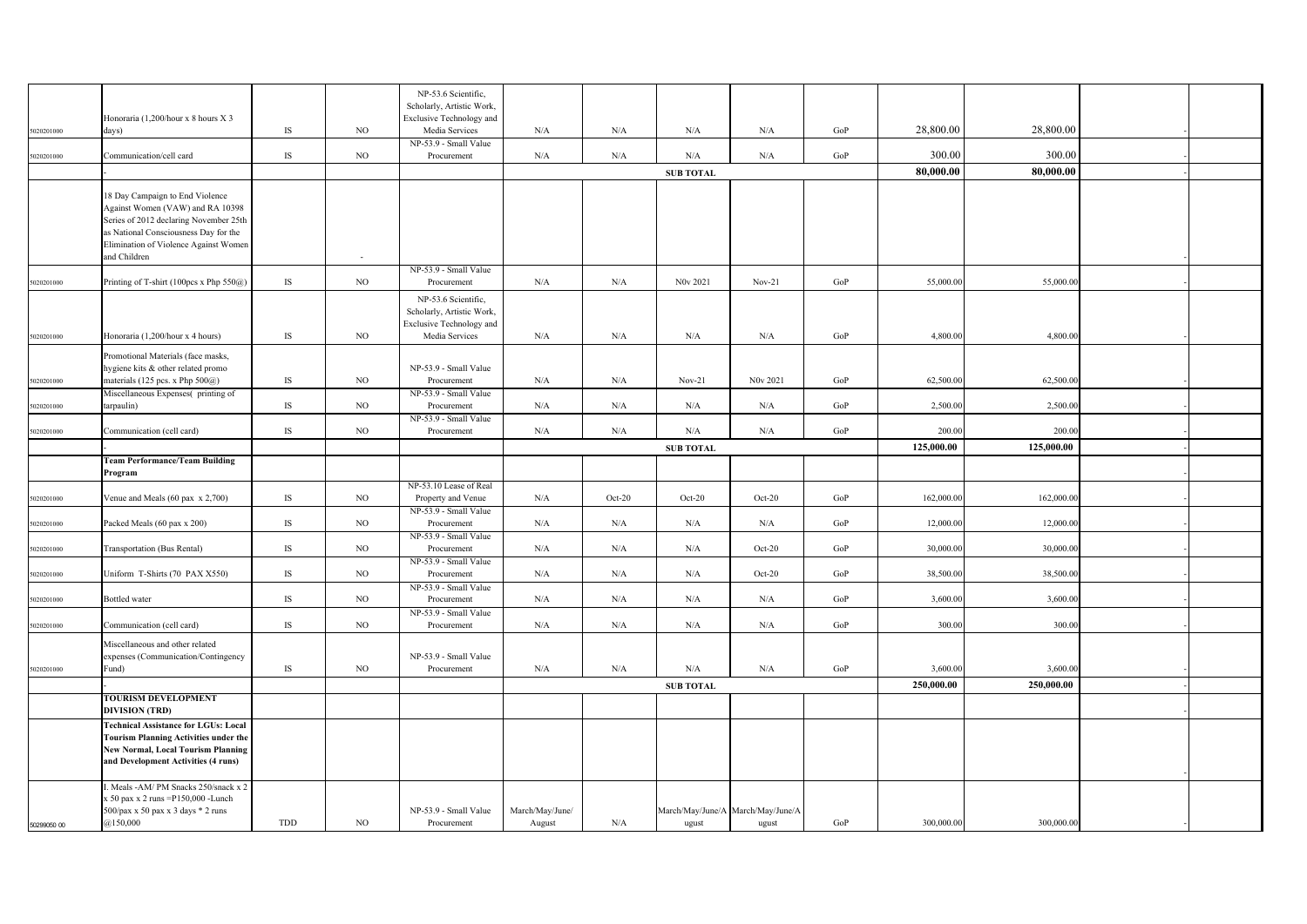|             |                                                                       |               |             | NP-53.6 Scientific,                        |                 |          |                                   |          |     |            |            |  |
|-------------|-----------------------------------------------------------------------|---------------|-------------|--------------------------------------------|-----------------|----------|-----------------------------------|----------|-----|------------|------------|--|
|             |                                                                       |               |             | Scholarly, Artistic Work,                  |                 |          |                                   |          |     |            |            |  |
|             | Honoraria (1,200/hour x 8 hours X 3                                   | IS            | $_{\rm NO}$ | Exclusive Technology and<br>Media Services |                 | N/A      | N/A                               | N/A      | GoP | 28,800.00  | 28,800.00  |  |
| 5020201000  | days)                                                                 |               |             | NP-53.9 - Small Value                      | N/A             |          |                                   |          |     |            |            |  |
| 5020201000  | Communication/cell card                                               | IS            | $_{\rm NO}$ | Procurement                                | N/A             | N/A      | $\rm N/A$                         | N/A      | GoP | 300.00     | 300.00     |  |
|             |                                                                       |               |             |                                            |                 |          | <b>SUB TOTAL</b>                  |          |     | 80,000.00  | 80,000.00  |  |
|             |                                                                       |               |             |                                            |                 |          |                                   |          |     |            |            |  |
|             | 18 Day Campaign to End Violence<br>Against Women (VAW) and RA 10398   |               |             |                                            |                 |          |                                   |          |     |            |            |  |
|             | Series of 2012 declaring November 25th                                |               |             |                                            |                 |          |                                   |          |     |            |            |  |
|             | as National Consciousness Day for the                                 |               |             |                                            |                 |          |                                   |          |     |            |            |  |
|             | Elimination of Violence Against Women                                 |               |             |                                            |                 |          |                                   |          |     |            |            |  |
|             | and Children                                                          |               | $\sim$      | NP-53.9 - Small Value                      |                 |          |                                   |          |     |            |            |  |
| 5020201000  | Printing of T-shirt (100pcs x Php 550@)                               | IS            | $_{\rm NO}$ | Procurement                                | N/A             | N/A      | N0v 2021                          | $Nov-21$ | GoP | 55,000.00  | 55,000.00  |  |
|             |                                                                       |               |             | NP-53.6 Scientific,                        |                 |          |                                   |          |     |            |            |  |
|             |                                                                       |               |             | Scholarly, Artistic Work,                  |                 |          |                                   |          |     |            |            |  |
|             |                                                                       |               |             | <b>Exclusive Technology and</b>            |                 |          |                                   |          |     |            |            |  |
| 5020201000  | Honoraria (1,200/hour x 4 hours)                                      | IS            | $_{\rm NO}$ | Media Services                             | N/A             | N/A      | N/A                               | N/A      | GoP | 4,800.00   | 4,800.00   |  |
|             | Promotional Materials (face masks,                                    |               |             |                                            |                 |          |                                   |          |     |            |            |  |
|             | hygiene kits & other related promo                                    |               |             | NP-53.9 - Small Value                      |                 |          |                                   |          |     |            |            |  |
| 5020201000  | materials (125 pcs. x Php 500@)<br>Miscellaneous Expenses(printing of | IS            | $_{\rm NO}$ | Procurement<br>NP-53.9 - Small Value       | N/A             | N/A      | $Nov-21$                          | N0v 2021 | GoP | 62,500.00  | 62,500.00  |  |
| 5020201000  | tarpaulin)                                                            | $\mathbf{IS}$ | $_{\rm NO}$ | Procurement                                | N/A             | N/A      | N/A                               | N/A      | GoP | 2,500.00   | 2,500.00   |  |
|             |                                                                       |               |             | NP-53.9 - Small Value                      |                 |          |                                   |          |     |            |            |  |
| 5020201000  | Communication (cell card)                                             | IS            | $_{\rm NO}$ | Procurement                                | N/A             | N/A      | N/A                               | N/A      | GoP | 200.00     | 200.00     |  |
|             |                                                                       |               |             |                                            |                 |          | <b>SUB TOTAL</b>                  |          |     | 125,000.00 | 125,000.00 |  |
|             | <b>Team Performance/Team Building</b>                                 |               |             |                                            |                 |          |                                   |          |     |            |            |  |
|             | Program                                                               |               |             | NP-53.10 Lease of Real                     |                 |          |                                   |          |     |            |            |  |
| 5020201000  | Venue and Meals (60 pax x 2,700)                                      | IS            | NO.         | Property and Venue                         | N/A             | $Oct-20$ | $Oct-20$                          | $Oct-20$ | GoP | 162,000.00 | 162,000.00 |  |
|             |                                                                       |               |             | NP-53.9 - Small Value                      |                 |          |                                   |          |     |            |            |  |
| 5020201000  | Packed Meals (60 pax x 200)                                           | IS            | $_{\rm NO}$ | Procurement                                | N/A             | N/A      | N/A                               | N/A      | GoP | 12,000.00  | 12,000.00  |  |
| 5020201000  | Transportation (Bus Rental)                                           | IS            | NO          | NP-53.9 - Small Value<br>Procurement       | N/A             | N/A      | N/A                               | $Oct-20$ | GoP | 30,000.00  | 30,000.00  |  |
|             |                                                                       |               |             | NP-53.9 - Small Value                      |                 |          |                                   |          |     |            |            |  |
| 5020201000  | Uniform T-Shirts (70 PAX X550)                                        | IS            | NO          | Procurement                                | N/A             | N/A      | N/A                               | $Oct-20$ | GoP | 38,500.00  | 38,500.00  |  |
|             |                                                                       |               |             | NP-53.9 - Small Value                      |                 |          |                                   |          |     |            |            |  |
| 5020201000  | <b>Bottled</b> water                                                  | IS            | NO          | Procurement<br>NP-53.9 - Small Value       | N/A             | N/A      | N/A                               | N/A      | GoP | 3,600.00   | 3,600.00   |  |
| 5020201000  | Communication (cell card)                                             | IS            | $_{\rm NO}$ | Procurement                                | N/A             | N/A      | $\rm N/A$                         | N/A      | GoP | 300.00     | 300.00     |  |
|             | Miscellaneous and other related                                       |               |             |                                            |                 |          |                                   |          |     |            |            |  |
|             | xpenses (Communication/Contingency                                    |               |             | NP-53.9 - Small Value                      |                 |          |                                   |          |     |            |            |  |
| 5020201000  | und)                                                                  | IS            | NO          | Procurement                                | N/A             | N/A      | N/A                               | N/A      | GoP | 3,600.00   | 3,600.00   |  |
|             |                                                                       |               |             |                                            |                 |          | <b>SUB TOTAL</b>                  |          |     | 250,000.00 | 250,000.00 |  |
|             | TOURISM DEVELOPMENT<br><b>DIVISION (TRD)</b>                          |               |             |                                            |                 |          |                                   |          |     |            |            |  |
|             | <b>Technical Assistance for LGUs: Local</b>                           |               |             |                                            |                 |          |                                   |          |     |            |            |  |
|             | <b>Tourism Planning Activities under the</b>                          |               |             |                                            |                 |          |                                   |          |     |            |            |  |
|             | New Normal, Local Tourism Planning                                    |               |             |                                            |                 |          |                                   |          |     |            |            |  |
|             | and Development Activities (4 runs)                                   |               |             |                                            |                 |          |                                   |          |     |            |            |  |
|             | Meals -AM/PM Snacks 250/snack x 2                                     |               |             |                                            |                 |          |                                   |          |     |            |            |  |
|             | : 50 pax x 2 runs = P150,000 - Lunch                                  |               |             |                                            |                 |          |                                   |          |     |            |            |  |
|             | 500/pax x 50 pax x 3 days * 2 runs<br>@150,000                        | TDD           | $_{\rm NO}$ | NP-53.9 - Small Value<br>Procurement       | March/May/June/ | N/A      | March/May/June/A March/May/June/A |          | GoP | 300,000.00 | 300,000.00 |  |
| 50299050 00 |                                                                       |               |             |                                            | August          |          | ugust                             | ugust    |     |            |            |  |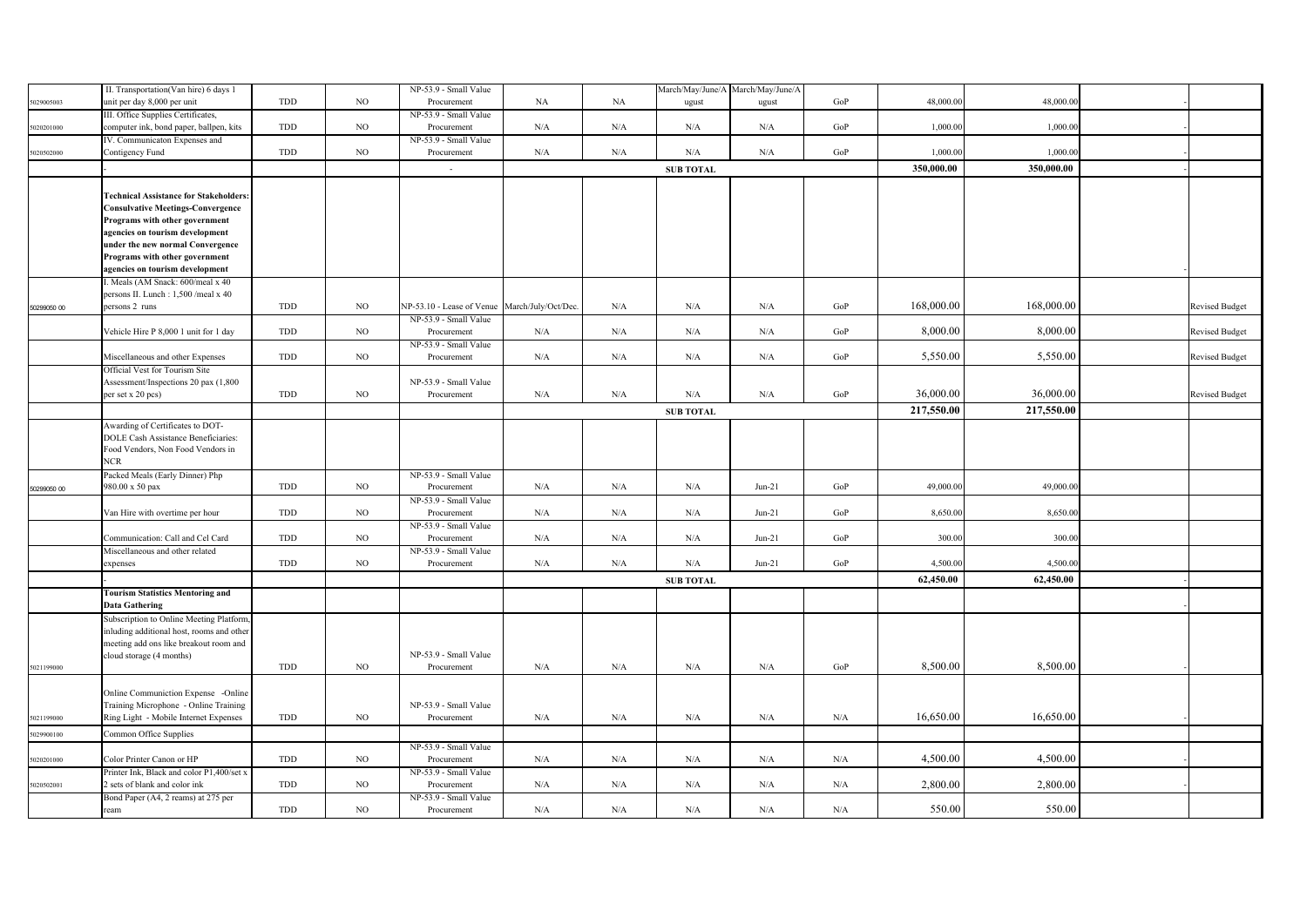|             | II. Transportation(Van hire) 6 days 1         |     |             | NP-53.9 - Small Value                        |             |           |                  | March/May/June/A March/May/June/A |     |            |            |                       |
|-------------|-----------------------------------------------|-----|-------------|----------------------------------------------|-------------|-----------|------------------|-----------------------------------|-----|------------|------------|-----------------------|
| 029005003   | unit per day 8,000 per unit                   | TDD | NO          | Procurement                                  | NA          | NA        | ugust            | ugust                             | GoP | 48,000.00  | 48,000.0   |                       |
|             | III. Office Supplies Certificates,            |     |             | NP-53.9 - Small Value                        |             |           |                  |                                   |     |            |            |                       |
| 6020201000  | computer ink, bond paper, ballpen, kits       | TDD | $_{\rm NO}$ | Procurement                                  | $\rm N/A$   | N/A       | N/A              | $\rm N/A$                         | GoP | 1,000.00   | 1,000.00   |                       |
|             | IV. Communicaton Expenses and                 |     |             | NP-53.9 - Small Value                        |             |           |                  |                                   |     |            |            |                       |
| 5020502000  | Contigency Fund                               | TDD | $_{\rm NO}$ | Procurement                                  | $\rm N/A$   | N/A       | N/A              | N/A                               | GoP | 1,000.00   | 1,000.00   |                       |
|             |                                               |     |             | $\sim$                                       |             |           | <b>SUB TOTAL</b> |                                   |     | 350,000.00 | 350,000.00 |                       |
|             |                                               |     |             |                                              |             |           |                  |                                   |     |            |            |                       |
|             | <b>Technical Assistance for Stakeholders:</b> |     |             |                                              |             |           |                  |                                   |     |            |            |                       |
|             | <b>Consulvative Meetings-Convergence</b>      |     |             |                                              |             |           |                  |                                   |     |            |            |                       |
|             | Programs with other government                |     |             |                                              |             |           |                  |                                   |     |            |            |                       |
|             | agencies on tourism development               |     |             |                                              |             |           |                  |                                   |     |            |            |                       |
|             | under the new normal Convergence              |     |             |                                              |             |           |                  |                                   |     |            |            |                       |
|             | Programs with other government                |     |             |                                              |             |           |                  |                                   |     |            |            |                       |
|             | agencies on tourism development               |     |             |                                              |             |           |                  |                                   |     |            |            |                       |
|             | . Meals (AM Snack: 600/meal x 40              |     |             |                                              |             |           |                  |                                   |     |            |            |                       |
|             | persons II. Lunch: 1,500/meal x 40            |     |             |                                              |             |           |                  |                                   |     |            |            |                       |
| 50299050 00 | persons 2 runs                                | TDD | $_{\rm NO}$ | NP-53.10 - Lease of Venue March/July/Oct/Dec |             | N/A       | N/A              | N/A                               | GoP | 168,000.00 | 168,000.00 | <b>Revised Budget</b> |
|             |                                               |     |             | NP-53.9 - Small Value                        |             |           |                  |                                   |     |            |            |                       |
|             | Vehicle Hire P 8,000 1 unit for 1 day         | TDD | $_{\rm NO}$ | Procurement                                  | ${\rm N/A}$ | N/A       | $\rm N/A$        | N/A                               | GoP | 8,000.00   | 8,000.00   | <b>Revised Budget</b> |
|             |                                               |     |             | NP-53.9 - Small Value                        |             |           |                  |                                   |     |            |            |                       |
|             | Miscellaneous and other Expenses              | TDD | NO          | Procurement                                  | N/A         | N/A       | N/A              | N/A                               | GoP | 5,550.00   | 5,550.00   | <b>Revised Budget</b> |
|             | Official Vest for Tourism Site                |     |             |                                              |             |           |                  |                                   |     |            |            |                       |
|             | Assessment/Inspections 20 pax (1,800          |     |             | NP-53.9 - Small Value                        |             |           |                  |                                   |     |            |            |                       |
|             | per set x 20 pcs)                             | TDD | NO          | Procurement                                  | $\rm N/A$   | $\rm N/A$ | $\rm N/A$        | N/A                               | GoP | 36,000.00  | 36,000.00  | <b>Revised Budget</b> |
|             |                                               |     |             |                                              |             |           | <b>SUB TOTAL</b> |                                   |     | 217,550.00 | 217,550.00 |                       |
|             | Awarding of Certificates to DOT-              |     |             |                                              |             |           |                  |                                   |     |            |            |                       |
|             | DOLE Cash Assistance Beneficiaries:           |     |             |                                              |             |           |                  |                                   |     |            |            |                       |
|             | Food Vendors, Non Food Vendors in             |     |             |                                              |             |           |                  |                                   |     |            |            |                       |
|             | <b>NCR</b>                                    |     |             |                                              |             |           |                  |                                   |     |            |            |                       |
|             | Packed Meals (Early Dinner) Php               |     |             | NP-53.9 - Small Value                        |             |           |                  |                                   |     |            |            |                       |
| 50299050 00 | 980.00 x 50 pax                               | TDD | NO          | Procurement                                  | N/A         | N/A       | N/A              | $Jun-21$                          | GoP | 49,000.00  | 49,000.00  |                       |
|             |                                               |     |             | NP-53.9 - Small Value                        |             |           |                  |                                   |     |            |            |                       |
|             | Van Hire with overtime per hour               | TDD | NO.         | Procurement                                  | N/A         | N/A       | N/A              | $Jun-21$                          | GoP | 8,650.00   | 8,650.00   |                       |
|             |                                               |     |             | NP-53.9 - Small Value                        |             |           |                  |                                   |     |            |            |                       |
|             | Communication: Call and Cel Card              | TDD | $_{\rm NO}$ | Procurement                                  | ${\rm N/A}$ | $\rm N/A$ | N/A              | $Jun-21$                          | GoP | 300.00     | 300.00     |                       |
|             | Miscellaneous and other related               |     |             | NP-53.9 - Small Value                        |             |           |                  |                                   |     |            |            |                       |
|             | expenses                                      | TDD | $_{\rm NO}$ | Procurement                                  | N/A         | N/A       | N/A              | $Jun-21$                          | GoP | 4,500.00   | 4,500.00   |                       |
|             |                                               |     |             |                                              |             |           | <b>SUB TOTAL</b> |                                   |     | 62,450.00  | 62,450.00  |                       |
|             | <b>Tourism Statistics Mentoring and</b>       |     |             |                                              |             |           |                  |                                   |     |            |            |                       |
|             | <b>Data Gathering</b>                         |     |             |                                              |             |           |                  |                                   |     |            |            |                       |
|             | Subscription to Online Meeting Platform,      |     |             |                                              |             |           |                  |                                   |     |            |            |                       |
|             | nluding additional host, rooms and other      |     |             |                                              |             |           |                  |                                   |     |            |            |                       |
|             | meeting add ons like breakout room and        |     |             |                                              |             |           |                  |                                   |     |            |            |                       |
|             | cloud storage (4 months)                      |     |             | NP-53.9 - Small Value                        |             |           |                  |                                   |     |            |            |                       |
| 5021199000  |                                               | TDD | $_{\rm NO}$ | Procurement                                  | ${\rm N/A}$ | N/A       | N/A              | N/A                               | GoP | 8,500.00   | 8,500.00   |                       |
|             |                                               |     |             |                                              |             |           |                  |                                   |     |            |            |                       |
|             | Online Communiction Expense -Online           |     |             |                                              |             |           |                  |                                   |     |            |            |                       |
|             | Training Microphone - Online Training         |     |             | NP-53.9 - Small Value                        |             |           |                  |                                   |     |            |            |                       |
| 5021199000  | Ring Light - Mobile Internet Expenses         | TDD | NO          | Procurement                                  | $\rm N/A$   | $\rm N/A$ | N/A              | N/A                               | N/A | 16,650.00  | 16,650.00  |                       |
| 6029900100  | Common Office Supplies                        |     |             |                                              |             |           |                  |                                   |     |            |            |                       |
|             |                                               |     |             | NP-53.9 - Small Value                        |             |           |                  |                                   |     |            |            |                       |
| 5020201000  | Color Printer Canon or HP                     | TDD | $_{\rm NO}$ | Procurement                                  | $\rm N/A$   | N/A       | N/A              | N/A                               | N/A | 4,500.00   | 4,500.00   |                       |
|             | Printer Ink, Black and color P1,400/set x     |     |             | NP-53.9 - Small Value                        |             |           |                  |                                   |     |            |            |                       |
| 5020502001  | 2 sets of blank and color ink                 | TDD | NO          | Procurement                                  | N/A         | N/A       | N/A              | N/A                               | N/A | 2,800.00   | 2,800.00   |                       |
|             | Bond Paper (A4, 2 reams) at 275 per           |     |             | NP-53.9 - Small Value                        |             |           |                  |                                   |     |            |            |                       |
|             | ream                                          | TDD | $_{\rm NO}$ | Procurement                                  | N/A         | $\rm N/A$ | N/A              | N/A                               | N/A | 550.00     | 550.00     |                       |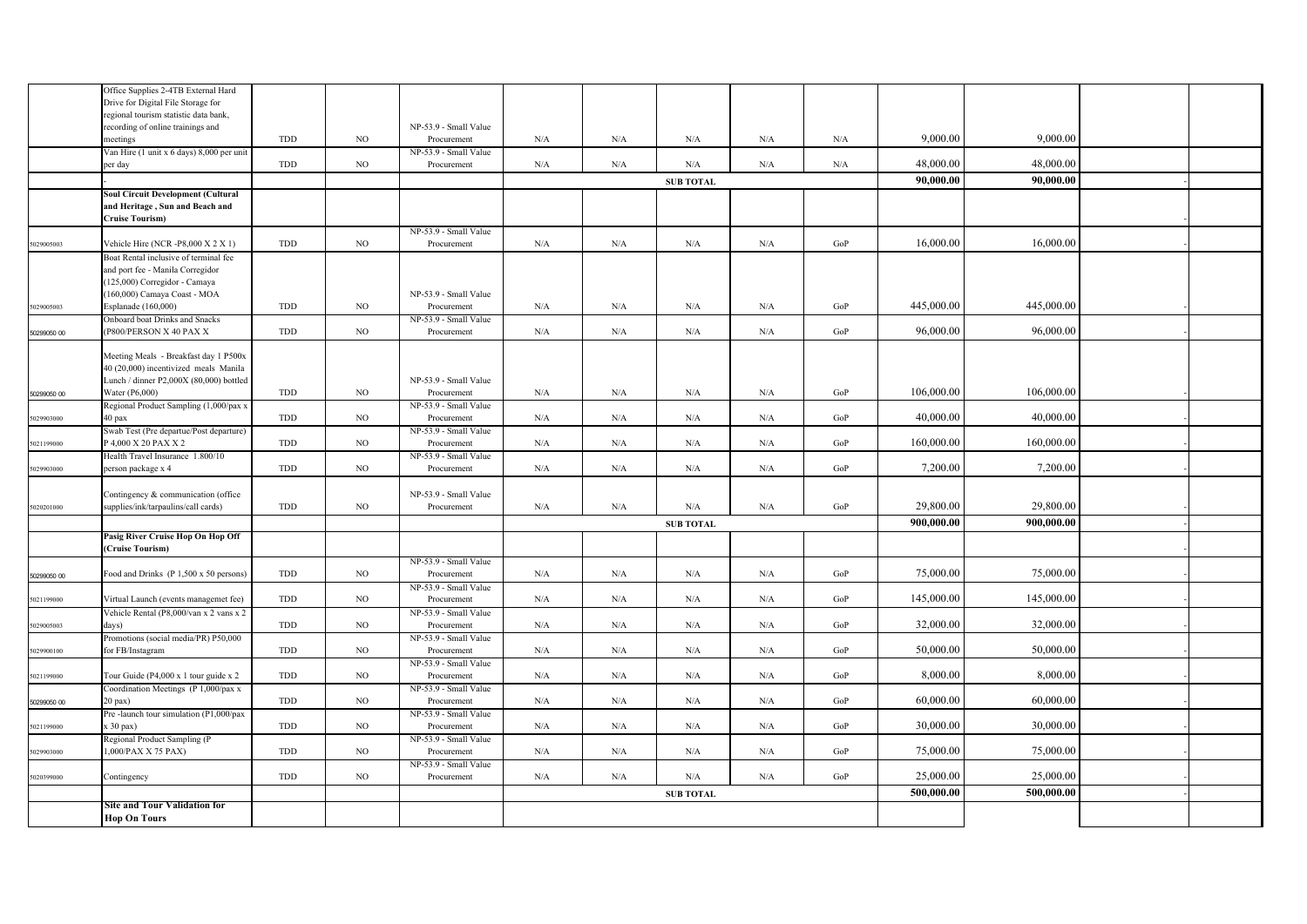|             | Office Supplies 2-4TB External Hard                       |            |             |                                      |     |           |                  |           |           |            |            |  |
|-------------|-----------------------------------------------------------|------------|-------------|--------------------------------------|-----|-----------|------------------|-----------|-----------|------------|------------|--|
|             | Drive for Digital File Storage for                        |            |             |                                      |     |           |                  |           |           |            |            |  |
|             | regional tourism statistic data bank,                     |            |             | NP-53.9 - Small Value                |     |           |                  |           |           |            |            |  |
|             | recording of online trainings and                         | TDD        | $_{\rm NO}$ | Procurement                          | N/A | N/A       | $\rm N/A$        | $\rm N/A$ | N/A       | 9,000.00   | 9,000.00   |  |
|             | neetings<br>Van Hire (1 unit x 6 days) 8,000 per unit     |            |             | NP-53.9 - Small Value                |     |           |                  |           |           |            |            |  |
|             | per day                                                   | TDD        | NO          | Procurement                          | N/A | N/A       | $\rm N/A$        | N/A       | $\rm N/A$ | 48,000.00  | 48,000.00  |  |
|             |                                                           |            |             |                                      |     |           |                  |           |           |            |            |  |
|             |                                                           |            |             |                                      |     |           | <b>SUB TOTAL</b> |           |           | 90,000.00  | 90,000.00  |  |
|             | <b>Soul Circuit Development (Cultural</b>                 |            |             |                                      |     |           |                  |           |           |            |            |  |
|             | and Heritage, Sun and Beach and<br><b>Cruise Tourism)</b> |            |             |                                      |     |           |                  |           |           |            |            |  |
|             |                                                           |            |             | NP-53.9 - Small Value                |     |           |                  |           |           |            |            |  |
| 5029005003  | Vehicle Hire (NCR-P8,000 X 2 X 1)                         | TDD        | $_{\rm NO}$ | Procurement                          | N/A | N/A       | $\rm N/A$        | $\rm N/A$ | GoP       | 16,000.00  | 16,000.00  |  |
|             | Boat Rental inclusive of terminal fee                     |            |             |                                      |     |           |                  |           |           |            |            |  |
|             | and port fee - Manila Corregidor                          |            |             |                                      |     |           |                  |           |           |            |            |  |
|             | (125,000) Corregidor - Camaya                             |            |             |                                      |     |           |                  |           |           |            |            |  |
|             | (160,000) Camaya Coast - MOA                              |            |             | NP-53.9 - Small Value                |     |           |                  |           |           |            |            |  |
| 5029005003  | Esplanade (160,000)                                       | TDD        | NO          | Procurement                          | N/A | N/A       | $\rm N/A$        | N/A       | GoP       | 445,000.00 | 445,000.00 |  |
|             | Onboard boat Drinks and Snacks                            |            |             | NP-53.9 - Small Value                |     |           |                  |           |           |            |            |  |
| 50299050 00 | (P800/PERSON X 40 PAX X                                   | TDD        | NO          | Procurement                          | N/A | N/A       | N/A              | N/A       | GoP       | 96,000.00  | 96,000.00  |  |
|             |                                                           |            |             |                                      |     |           |                  |           |           |            |            |  |
|             | Meeting Meals - Breakfast day 1 P500x                     |            |             |                                      |     |           |                  |           |           |            |            |  |
|             | 40 (20,000) incentivized meals Manila                     |            |             |                                      |     |           |                  |           |           |            |            |  |
|             | Lunch / dinner P2,000X (80,000) bottled                   |            |             | NP-53.9 - Small Value                |     |           |                  |           |           |            |            |  |
| 50299050 00 | Water (P6,000)                                            | <b>TDD</b> | NO          | Procurement                          | N/A | N/A       | N/A              | N/A       | GoP       | 106,000.00 | 106,000.00 |  |
|             | Regional Product Sampling (1,000/pax x                    |            |             | NP-53.9 - Small Value                |     |           |                  |           |           |            |            |  |
| 5029903000  | 40 pax                                                    | <b>TDD</b> | NO          | Procurement                          | N/A | N/A       | $\rm N/A$        | $\rm N/A$ | GoP       | 40,000.00  | 40,000.00  |  |
|             | Swab Test (Pre departue/Post departure)                   |            |             | NP-53.9 - Small Value                |     |           |                  |           |           |            |            |  |
| 5021199000  | P 4,000 X 20 PAX X 2                                      | <b>TDD</b> | $_{\rm NO}$ | Procurement                          | N/A | N/A       | $\rm N/A$        | $\rm N/A$ | GoP       | 160,000.00 | 160,000.00 |  |
|             | Health Travel Insurance 1.800/10                          |            |             | NP-53.9 - Small Value                |     |           |                  |           |           |            |            |  |
| 5029903000  | person package x 4                                        | <b>TDD</b> | NO          | Procurement                          | N/A | N/A       | $\rm N/A$        | $\rm N/A$ | GoP       | 7,200.00   | 7,200.00   |  |
|             |                                                           |            |             |                                      |     |           |                  |           |           |            |            |  |
|             | Contingency & communication (office                       |            |             | NP-53.9 - Small Value                |     |           |                  |           |           |            |            |  |
| 5020201000  | supplies/ink/tarpaulins/call cards)                       | TDD        | NO.         | Procurement                          | N/A | N/A       | $\rm N/A$        | N/A       | GoP       | 29,800.00  | 29,800.00  |  |
|             |                                                           |            |             |                                      |     |           | <b>SUB TOTAL</b> |           |           | 900,000.00 | 900.000.00 |  |
|             | Pasig River Cruise Hop On Hop Off                         |            |             |                                      |     |           |                  |           |           |            |            |  |
|             | Cruise Tourism)                                           |            |             |                                      |     |           |                  |           |           |            |            |  |
|             |                                                           |            |             | NP-53.9 - Small Value                |     |           |                  |           |           |            |            |  |
| 50299050 00 | Food and Drinks (P 1,500 x 50 persons)                    | TDD        | NO          | Procurement                          | N/A | N/A       | N/A              | N/A       | GoP       | 75,000.00  | 75,000.00  |  |
|             |                                                           |            |             | NP-53.9 - Small Value                |     |           |                  |           |           |            |            |  |
| 5021199000  | Virtual Launch (events managemet fee)                     | TDD        | NO          | Procurement                          | N/A | N/A       | N/A              | N/A       | GoP       | 145,000.00 | 145,000.00 |  |
|             | Vehicle Rental (P8,000/van x 2 vans x 2                   |            |             | NP-53.9 - Small Value                |     |           |                  |           |           |            |            |  |
| 5029005003  | days)                                                     | TDD        | NO          | Procurement                          | N/A | N/A       | $\rm N/A$        | $\rm N/A$ | GoP       | 32,000.00  | 32,000.00  |  |
|             | Promotions (social media/PR) P50,000                      |            |             | NP-53.9 - Small Value                |     |           |                  |           |           |            |            |  |
| 5029900100  | for FB/Instagram                                          | TDD        | NO          | Procurement                          | N/A | N/A       | N/A              | $\rm N/A$ | GoP       | 50,000.00  | 50,000.00  |  |
|             |                                                           |            |             | NP-53.9 - Small Value                |     |           |                  |           |           |            |            |  |
| 5021199000  | Tour Guide (P4,000 x 1 tour guide x 2                     | TDD        | NO          | Procurement                          | N/A | N/A       | N/A              | N/A       | GoP       | 8,000.00   | 8,000.00   |  |
|             | Coordination Meetings (P 1,000/pax x                      |            |             | NP-53.9 - Small Value                |     |           |                  |           |           | 60,000.00  | 60,000.00  |  |
| 50299050 00 | $20$ pax)                                                 | TDD        | NO          | Procurement                          | N/A | N/A       | $\rm N/A$        | $\rm N/A$ | GoP       |            |            |  |
|             | Pre-launch tour simulation (P1,000/pax                    |            |             | NP-53.9 - Small Value                |     |           |                  |           |           | 30,000.00  | 30,000.00  |  |
| 5021199000  | $(30 \text{ pax})$                                        | TDD        | NO          | Procurement                          | N/A | N/A       | N/A              | $\rm N/A$ | GoP       |            |            |  |
| 5029903000  | Regional Product Sampling (P<br>1,000/PAX X 75 PAX)       | TDD        | NO          | NP-53.9 - Small Value<br>Procurement | N/A | N/A       | N/A              | N/A       | GoP       | 75,000.00  | 75,000.00  |  |
|             |                                                           |            |             | NP-53.9 - Small Value                |     |           |                  |           |           |            |            |  |
| 5020399000  | Contingency                                               | TDD        | NO          | Procurement                          | N/A | $\rm N/A$ | $\rm N/A$        | $\rm N/A$ | GoP       | 25,000.00  | 25,000.00  |  |
|             |                                                           |            |             |                                      |     |           |                  |           |           |            |            |  |
|             |                                                           |            |             |                                      |     |           | <b>SUB TOTAL</b> |           |           | 500,000.00 | 500,000.00 |  |
|             | Site and Tour Validation for                              |            |             |                                      |     |           |                  |           |           |            |            |  |
|             | <b>Hop On Tours</b>                                       |            |             |                                      |     |           |                  |           |           |            |            |  |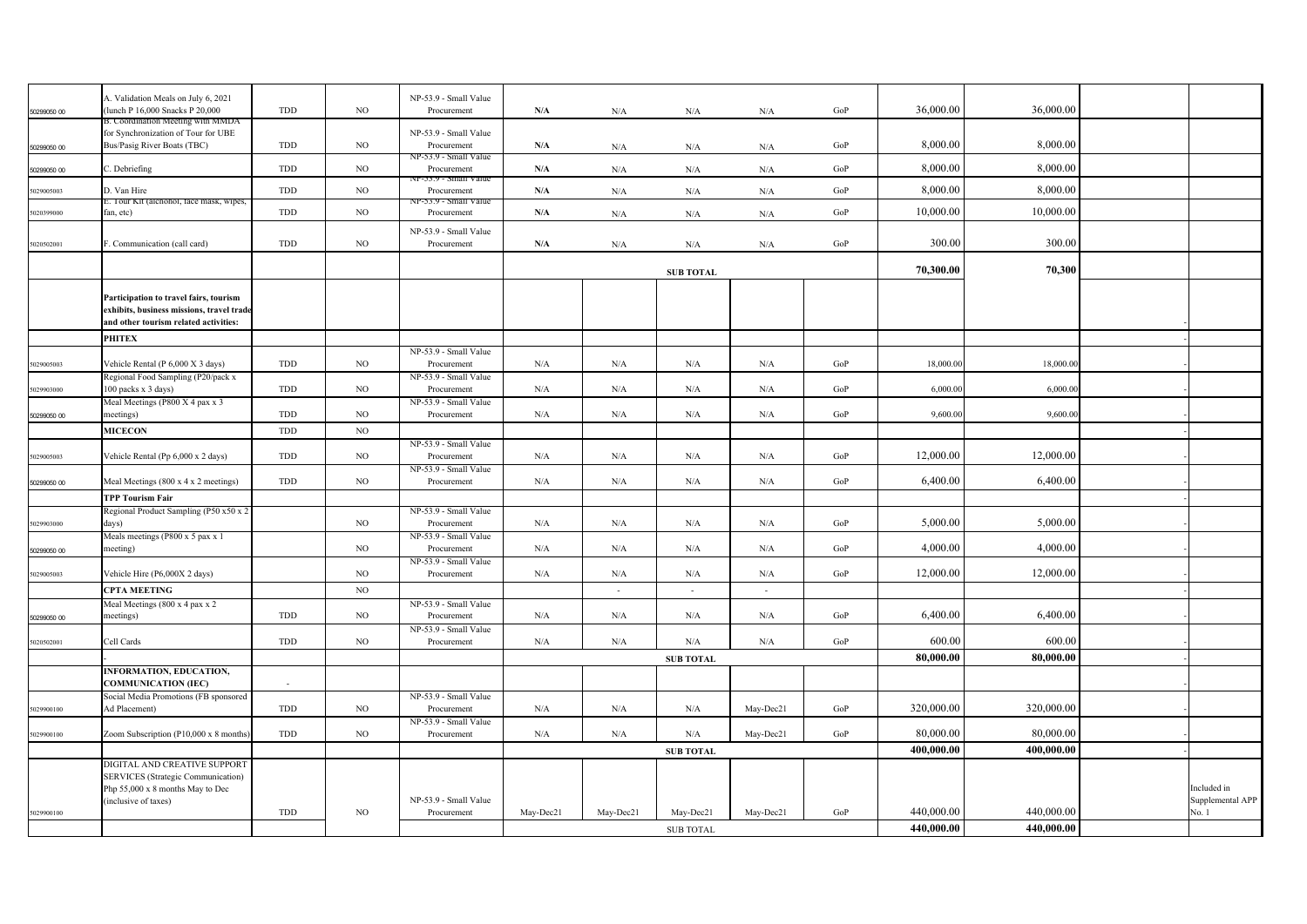|             | A. Validation Meals on July 6, 2021       |            |             | NP-53.9 - Small Value             |           |                          |                  |           |           |            |            |                  |
|-------------|-------------------------------------------|------------|-------------|-----------------------------------|-----------|--------------------------|------------------|-----------|-----------|------------|------------|------------------|
| 50299050 00 | (lunch P 16,000 Snacks P 20,000           | TDD        | $_{\rm NO}$ | Procurement                       | N/A       | N/A                      | N/A              | N/A       | GoP       | 36,000.00  | 36,000.00  |                  |
|             | 3. Coordination Meeting with MMDA         |            |             |                                   |           |                          |                  |           |           |            |            |                  |
|             | for Synchronization of Tour for UBE       |            |             | NP-53.9 - Small Value             |           |                          |                  |           |           |            |            |                  |
| 50299050 00 | Bus/Pasig River Boats (TBC)               | TDD        | $_{\rm NO}$ | Procurement                       | N/A       | N/A                      | N/A              | N/A       | GoP       | 8,000.00   | 8,000.00   |                  |
|             |                                           |            |             | NP-53.9 - Small Value             |           |                          |                  |           |           |            |            |                  |
| 50299050 00 | C. Debriefing                             | TDD        | $_{\rm NO}$ | Procurement                       | N/A       | N/A                      | N/A              | N/A       | GoP       | 8,000.00   | 8,000.00   |                  |
|             |                                           |            |             | NP-53.9 - Small Value             |           |                          |                  |           |           |            |            |                  |
| 5029005003  | D. Van Hire                               | TDD        | $_{\rm NO}$ | Procurement                       | N/A       | N/A                      | N/A              | N/A       | $\rm GoP$ | 8,000.00   | 8,000.00   |                  |
| 5020399000  | fan, etc)                                 | TDD        | $_{\rm NO}$ | -33.9 - Smail Valu<br>Procurement | N/A       |                          |                  |           | GoP       | 10,000.00  | 10,000.00  |                  |
|             |                                           |            |             |                                   |           | N/A                      | $\rm N/A$        | N/A       |           |            |            |                  |
|             |                                           |            |             | NP-53.9 - Small Value             |           |                          |                  |           |           |            |            |                  |
| 5020502001  | F. Communication (call card)              | TDD        | $_{\rm NO}$ | Procurement                       | N/A       | N/A                      | N/A              | N/A       | GoP       | 300.00     | 300.00     |                  |
|             |                                           |            |             |                                   |           |                          |                  |           |           |            |            |                  |
|             |                                           |            |             |                                   |           |                          | <b>SUB TOTAL</b> |           |           | 70,300.00  | 70,300     |                  |
|             |                                           |            |             |                                   |           |                          |                  |           |           |            |            |                  |
|             | Participation to travel fairs, tourism    |            |             |                                   |           |                          |                  |           |           |            |            |                  |
|             | exhibits, business missions, travel trade |            |             |                                   |           |                          |                  |           |           |            |            |                  |
|             | and other tourism related activities:     |            |             |                                   |           |                          |                  |           |           |            |            |                  |
|             |                                           |            |             |                                   |           |                          |                  |           |           |            |            |                  |
|             | <b>PHITEX</b>                             |            |             |                                   |           |                          |                  |           |           |            |            |                  |
|             |                                           |            |             | NP-53.9 - Small Value             |           |                          |                  |           |           |            |            |                  |
| 5029005003  | Vehicle Rental (P 6,000 X 3 days)         | <b>TDD</b> | NO.         | Procurement                       | N/A       | N/A                      | N/A              | N/A       | GoP       | 18,000.00  | 18,000.00  |                  |
|             | Regional Food Sampling (P20/pack x        |            |             | NP-53.9 - Small Value             |           |                          |                  |           |           |            |            |                  |
| 5029903000  | 100 packs x 3 days)                       | TDD        | NO          | Procurement                       | N/A       | N/A                      | N/A              | N/A       | GoP       | 6,000.00   | 6,000.00   |                  |
|             | Meal Meetings (P800 X 4 pax x 3           |            |             | NP-53.9 - Small Value             |           |                          |                  |           |           |            |            |                  |
| 50299050 00 | meetings)                                 | TDD        | $_{\rm NO}$ | Procurement                       | N/A       | N/A                      | $\rm N/A$        | N/A       | GoP       | 9,600.00   | 9,600.00   |                  |
|             | <b>MICECON</b>                            | TDD        | $_{\rm NO}$ |                                   |           |                          |                  |           |           |            |            |                  |
|             |                                           |            |             | NP-53.9 - Small Value             |           |                          |                  |           |           |            |            |                  |
| 5029005003  | Vehicle Rental (Pp 6,000 x 2 days)        | TDD        | $_{\rm NO}$ | Procurement                       | N/A       | N/A                      | N/A              | N/A       | GoP       | 12,000.00  | 12,000.00  |                  |
|             |                                           |            |             | NP-53.9 - Small Value             |           |                          |                  |           |           |            |            |                  |
| 50299050 00 | Meal Meetings (800 x 4 x 2 meetings)      | TDD        | NO          | Procurement                       | N/A       | N/A                      | N/A              | N/A       | GoP       | 6,400.00   | 6,400.00   |                  |
|             |                                           |            |             |                                   |           |                          |                  |           |           |            |            |                  |
|             | <b>TPP Tourism Fair</b>                   |            |             |                                   |           |                          |                  |           |           |            |            |                  |
|             | Regional Product Sampling (P50 x50 x 2    |            |             | NP-53.9 - Small Value             |           |                          |                  |           |           |            |            |                  |
| 5029903000  | days)                                     |            | $_{\rm NO}$ | Procurement                       | N/A       | N/A                      | N/A              | N/A       | GoP       | 5,000.00   | 5,000.00   |                  |
|             | Meals meetings (P800 x 5 pax x 1          |            |             | NP-53.9 - Small Value             |           |                          |                  |           |           |            |            |                  |
| 50299050 00 | meeting)                                  |            | $_{\rm NO}$ | Procurement                       | $\rm N/A$ | $\rm N/A$                | $\rm N/A$        | N/A       | GoP       | 4,000.00   | 4,000.00   |                  |
|             |                                           |            |             | NP-53.9 - Small Value             |           |                          |                  |           |           |            |            |                  |
| 5029005003  | Vehicle Hire (P6,000X 2 days)             |            | $_{\rm NO}$ | Procurement                       | N/A       | N/A                      | N/A              | N/A       | GoP       | 12,000.00  | 12,000.00  |                  |
|             | <b>CPTA MEETING</b>                       |            | NO          |                                   |           | $\overline{\phantom{a}}$ | $\omega$         | $\sim$    |           |            |            |                  |
|             | Meal Meetings (800 x 4 pax x 2            |            |             | NP-53.9 - Small Value             |           |                          |                  |           |           |            |            |                  |
| 50299050 00 | meetings)                                 | TDD        | NO          | Procurement                       | N/A       | N/A                      | N/A              | N/A       | GoP       | 6,400.00   | 6,400.00   |                  |
|             |                                           |            |             | NP-53.9 - Small Value             |           |                          |                  |           |           |            |            |                  |
| 5020502001  | Cell Cards                                | TDD        | NO          | Procurement                       | N/A       | N/A                      | N/A              | N/A       | GoP       | 600.00     | 600.00     |                  |
|             |                                           |            |             |                                   |           |                          |                  |           |           |            |            |                  |
|             |                                           |            |             |                                   |           |                          | <b>SUB TOTAL</b> |           |           | 80,000.00  | 80,000.00  |                  |
|             | INFORMATION, EDUCATION,                   |            |             |                                   |           |                          |                  |           |           |            |            |                  |
|             | <b>COMMUNICATION (IEC)</b>                | $\sim$     |             |                                   |           |                          |                  |           |           |            |            |                  |
|             | Social Media Promotions (FB sponsored     |            |             | NP-53.9 - Small Value             |           |                          |                  |           |           |            |            |                  |
| 5029900100  | Ad Placement)                             | TDD        | NO          | Procurement                       | N/A       | N/A                      | N/A              | May-Dec21 | GoP       | 320,000.00 | 320,000.00 |                  |
|             |                                           |            |             | NP-53.9 - Small Value             |           |                          |                  |           |           |            |            |                  |
| 5029900100  | Zoom Subscription (P10,000 x 8 months)    | TDD        | NO          | Procurement                       | N/A       | N/A                      | N/A              | May-Dec21 | GoP       | 80,000.00  | 80,000.00  |                  |
|             |                                           |            |             |                                   |           |                          | <b>SUB TOTAL</b> |           |           | 400.000.00 | 400.000.00 |                  |
|             | DIGITAL AND CREATIVE SUPPORT              |            |             |                                   |           |                          |                  |           |           |            |            |                  |
|             | <b>SERVICES</b> (Strategic Communication) |            |             |                                   |           |                          |                  |           |           |            |            |                  |
|             | Php 55,000 x 8 months May to Dec          |            |             |                                   |           |                          |                  |           |           |            |            | Included in      |
|             | (inclusive of taxes)                      |            |             | NP-53.9 - Small Value             |           |                          |                  |           |           |            |            | Supplemental APP |
| 5029900100  |                                           | TDD        | NO          | Procurement                       | May-Dec21 | May-Dec21                | May-Dec21        | May-Dec21 | GoP       | 440,000.00 | 440,000.00 | No. 1            |
|             |                                           |            |             |                                   |           |                          |                  |           |           | 440,000.00 | 440,000.00 |                  |
|             |                                           |            |             |                                   |           |                          | <b>SUB TOTAL</b> |           |           |            |            |                  |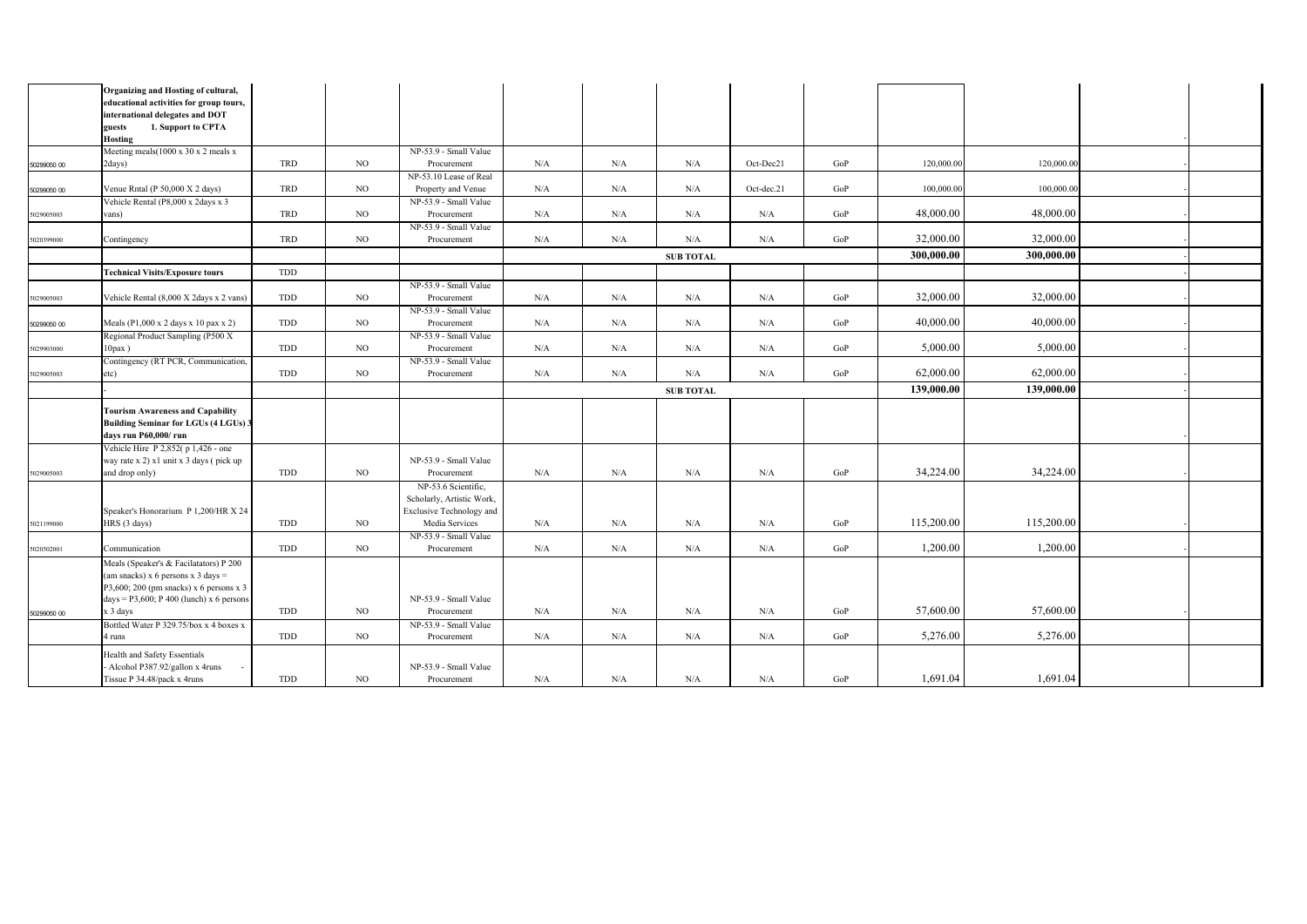|             | Organizing and Hosting of cultural,<br>educational activities for group tours, |            |             |                                                  |     |     |                  |            |     |            |            |  |
|-------------|--------------------------------------------------------------------------------|------------|-------------|--------------------------------------------------|-----|-----|------------------|------------|-----|------------|------------|--|
|             | international delegates and DOT                                                |            |             |                                                  |     |     |                  |            |     |            |            |  |
|             | 1. Support to CPTA<br>guests                                                   |            |             |                                                  |     |     |                  |            |     |            |            |  |
|             | <b>Hosting</b>                                                                 |            |             |                                                  |     |     |                  |            |     |            |            |  |
|             | Meeting meals (1000 x 30 x 2 meals x                                           |            |             | NP-53.9 - Small Value                            |     |     |                  |            |     |            |            |  |
| 50299050 00 | 2days)                                                                         | <b>TRD</b> | NO          | Procurement                                      | N/A | N/A | N/A              | Oct-Dec21  | GoP | 120,000.00 | 120,000.00 |  |
|             |                                                                                |            |             | NP-53.10 Lease of Real                           |     |     |                  |            |     |            |            |  |
| 50299050 00 | Venue Rntal (P 50,000 X 2 days)                                                | TRD        | NO          | Property and Venue                               | N/A | N/A | N/A              | Oct-dec.21 | GoP | 100,000.00 | 100,000.00 |  |
|             | Vehicle Rental (P8,000 x 2days x 3                                             |            |             | NP-53.9 - Small Value                            |     |     |                  |            |     |            |            |  |
| 5029005003  | vans)                                                                          | TRD        | NO          | Procurement                                      | N/A | N/A | N/A              | N/A        | GoP | 48,000.00  | 48,000.00  |  |
| 5020399000  | Contingency                                                                    | TRD        | NO.         | NP-53.9 - Small Value<br>Procurement             | N/A | N/A | N/A              | N/A        | GoP | 32,000.00  | 32,000.00  |  |
|             |                                                                                |            |             |                                                  |     |     |                  |            |     |            |            |  |
|             |                                                                                |            |             |                                                  |     |     | <b>SUB TOTAL</b> |            |     | 300,000.00 | 300,000.00 |  |
|             | <b>Technical Visits/Exposure tours</b>                                         | TDD        |             |                                                  |     |     |                  |            |     |            |            |  |
|             |                                                                                |            |             | NP-53.9 - Small Value                            |     |     |                  |            |     |            |            |  |
| 5029005003  | Vehicle Rental (8,000 X 2days x 2 vans)                                        | TDD        | NO          | Procurement                                      | N/A | N/A | N/A              | N/A        | GoP | 32,000.00  | 32,000.00  |  |
|             |                                                                                |            |             | NP-53.9 - Small Value                            |     |     |                  |            |     | 40,000.00  | 40,000.00  |  |
| 50299050 00 | Meals (P1,000 x 2 days x 10 pax x 2)                                           | TDD        | $_{\rm NO}$ | Procurement<br>NP-53.9 - Small Value             | N/A | N/A | N/A              | N/A        | GoP |            |            |  |
| 5029903000  | Regional Product Sampling (P500 X<br>$10$ pax $)$                              | TDD        | NO          | Procurement                                      | N/A | N/A | N/A              | N/A        | GoP | 5,000.00   | 5,000.00   |  |
|             | Contingency (RT PCR, Communication,                                            |            |             | NP-53.9 - Small Value                            |     |     |                  |            |     |            |            |  |
| 5029005003  | etc)                                                                           | TDD        | NO          | Procurement                                      | N/A | N/A | N/A              | N/A        | GoP | 62,000.00  | 62,000.00  |  |
|             |                                                                                |            |             |                                                  |     |     |                  |            |     | 139,000.00 | 139,000.00 |  |
|             |                                                                                |            |             |                                                  |     |     | <b>SUB TOTAL</b> |            |     |            |            |  |
|             | <b>Tourism Awareness and Capability</b>                                        |            |             |                                                  |     |     |                  |            |     |            |            |  |
|             | <b>Building Seminar for LGUs (4 LGUs) 3</b>                                    |            |             |                                                  |     |     |                  |            |     |            |            |  |
|             | days run P60,000/run                                                           |            |             |                                                  |     |     |                  |            |     |            |            |  |
|             | Vehicle Hire P 2,852(p 1,426 - one                                             |            |             |                                                  |     |     |                  |            |     |            |            |  |
|             | way rate x 2) x1 unit x 3 days (pick up<br>and drop only)                      | TDD        | NO          | NP-53.9 - Small Value<br>Procurement             | N/A | N/A | N/A              | N/A        | GoP | 34,224.00  | 34,224.00  |  |
| 5029005003  |                                                                                |            |             |                                                  |     |     |                  |            |     |            |            |  |
|             |                                                                                |            |             | NP-53.6 Scientific,<br>Scholarly, Artistic Work, |     |     |                  |            |     |            |            |  |
|             | Speaker's Honorarium P 1,200/HR X 24                                           |            |             | Exclusive Technology and                         |     |     |                  |            |     |            |            |  |
| 5021199000  | HRS (3 days)                                                                   | TDD        | NO.         | Media Services                                   | N/A | N/A | N/A              | N/A        | GoP | 115,200.00 | 115,200.00 |  |
|             |                                                                                |            |             | NP-53.9 - Small Value                            |     |     |                  |            |     |            |            |  |
| 5020502001  | Communication                                                                  | TDD        | NO          | Procurement                                      | N/A | N/A | N/A              | N/A        | GoP | 1,200.00   | 1,200.00   |  |
|             | Meals (Speaker's & Facilatators) P 200                                         |            |             |                                                  |     |     |                  |            |     |            |            |  |
|             |                                                                                |            |             |                                                  |     |     |                  |            |     |            |            |  |
|             | (am snacks) $x$ 6 persons $x$ 3 days =                                         |            |             |                                                  |     |     |                  |            |     |            |            |  |
|             | P3,600; 200 (pm snacks) x 6 persons x 3                                        |            |             |                                                  |     |     |                  |            |     |            |            |  |
|             | days = $P3,600$ ; $P400$ (lunch) x 6 persons                                   |            |             | NP-53.9 - Small Value                            |     |     |                  |            |     |            |            |  |
| 50299050 00 | x 3 days                                                                       | TDD        | NO          | Procurement                                      | N/A | N/A | N/A              | N/A        | GoP | 57,600.00  | 57,600.00  |  |
|             | Bottled Water P 329.75/box x 4 boxes x                                         |            |             | NP-53.9 - Small Value                            |     |     |                  |            |     |            |            |  |
|             | 4 runs                                                                         | TDD        | NO.         | Procurement                                      | N/A | N/A | N/A              | N/A        | GoP | 5,276.00   | 5,276.00   |  |
|             | Health and Safety Essentials                                                   |            |             |                                                  |     |     |                  |            |     |            |            |  |
|             | Alcohol P387.92/gallon x 4runs<br>Tissue P 34.48/pack x 4runs                  | TDD        | NO          | NP-53.9 - Small Value<br>Procurement             | N/A | N/A | N/A              | N/A        | GoP | 1,691.04   | 1,691.04   |  |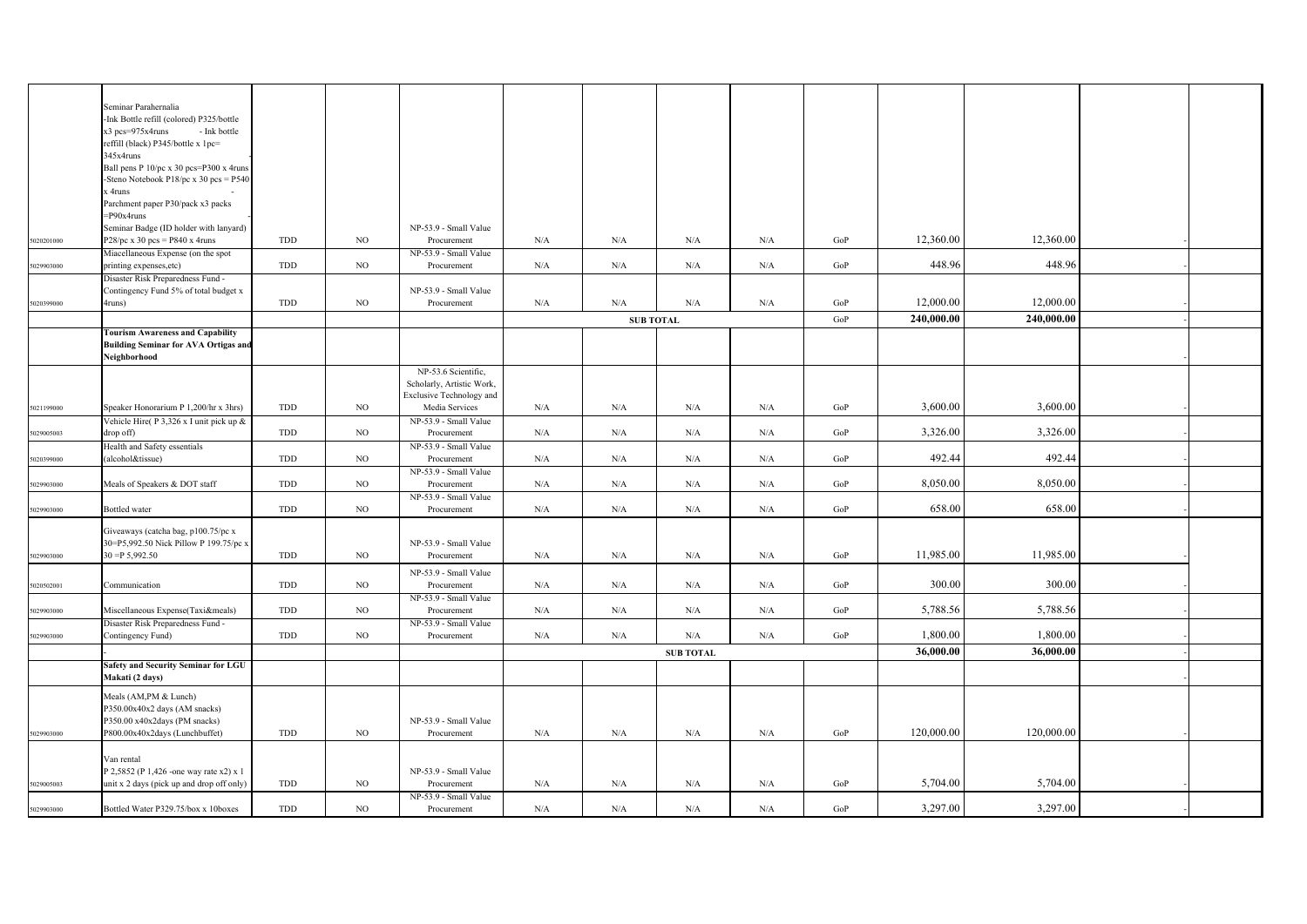|            | Seminar Parahernalia                        |     |             |                                 |     |                  |                  |           |           |            |            |  |
|------------|---------------------------------------------|-----|-------------|---------------------------------|-----|------------------|------------------|-----------|-----------|------------|------------|--|
|            | -Ink Bottle refill (colored) P325/bottle    |     |             |                                 |     |                  |                  |           |           |            |            |  |
|            | x3 pcs=975x4runs<br>- Ink bottle            |     |             |                                 |     |                  |                  |           |           |            |            |  |
|            | reffill (black) P345/bottle x 1pc=          |     |             |                                 |     |                  |                  |           |           |            |            |  |
|            |                                             |     |             |                                 |     |                  |                  |           |           |            |            |  |
|            | 345x4runs                                   |     |             |                                 |     |                  |                  |           |           |            |            |  |
|            | Ball pens P 10/pc x 30 pcs=P300 x 4runs     |     |             |                                 |     |                  |                  |           |           |            |            |  |
|            | -Steno Notebook P18/pc x 30 pcs = $P540$    |     |             |                                 |     |                  |                  |           |           |            |            |  |
|            | x 4runs                                     |     |             |                                 |     |                  |                  |           |           |            |            |  |
|            | Parchment paper P30/pack x3 packs           |     |             |                                 |     |                  |                  |           |           |            |            |  |
|            | =P90x4runs                                  |     |             |                                 |     |                  |                  |           |           |            |            |  |
|            | Seminar Badge (ID holder with lanyard)      |     |             | NP-53.9 - Small Value           |     |                  |                  |           |           |            |            |  |
| 5020201000 | $P28/pc \times 30$ pcs = P840 x 4runs       | TDD | NO          | Procurement                     | N/A | N/A              | N/A              | N/A       | GoP       | 12,360.00  | 12,360.00  |  |
|            | Miacellaneous Expense (on the spot          |     |             | NP-53.9 - Small Value           |     |                  |                  |           |           |            |            |  |
| 5029903000 | printing expenses, etc)                     | TDD | NO          | Procurement                     | N/A | N/A              | $\rm N/A$        | $\rm N/A$ | GoP       | 448.96     | 448.96     |  |
|            | Disaster Risk Preparedness Fund -           |     |             |                                 |     |                  |                  |           |           |            |            |  |
|            |                                             |     |             |                                 |     |                  |                  |           |           |            |            |  |
|            | Contingency Fund 5% of total budget x       |     |             | NP-53.9 - Small Value           |     |                  |                  |           |           |            |            |  |
| 5020399000 | 4runs)                                      | TDD | NO          | Procurement                     | N/A | N/A              | $\rm N/A$        | $\rm N/A$ | GoP       | 12,000.00  | 12,000.00  |  |
|            |                                             |     |             |                                 |     | <b>SUB TOTAL</b> |                  |           | GoP       | 240,000.00 | 240,000.00 |  |
|            | <b>Tourism Awareness and Capability</b>     |     |             |                                 |     |                  |                  |           |           |            |            |  |
|            | <b>Building Seminar for AVA Ortigas and</b> |     |             |                                 |     |                  |                  |           |           |            |            |  |
|            | Neighborhood                                |     |             |                                 |     |                  |                  |           |           |            |            |  |
|            |                                             |     |             | NP-53.6 Scientific,             |     |                  |                  |           |           |            |            |  |
|            |                                             |     |             |                                 |     |                  |                  |           |           |            |            |  |
|            |                                             |     |             | Scholarly, Artistic Work,       |     |                  |                  |           |           |            |            |  |
|            |                                             |     |             | <b>Exclusive Technology and</b> |     |                  |                  |           |           |            |            |  |
| 5021199000 | Speaker Honorarium P 1,200/hr x 3hrs)       | TDD | NO.         | Media Services                  | N/A | N/A              | N/A              | N/A       | GoP       | 3,600.00   | 3,600.00   |  |
|            | Vehicle Hire(P 3,326 x I unit pick up &     |     |             | NP-53.9 - Small Value           |     |                  |                  |           |           |            |            |  |
| 5029005003 | drop off)                                   | TDD | NO          | Procurement                     | N/A | N/A              | N/A              | $\rm N/A$ | GoP       | 3,326.00   | 3,326.00   |  |
|            | Health and Safety essentials                |     |             | NP-53.9 - Small Value           |     |                  |                  |           |           |            |            |  |
| 5020399000 | (alcohol&tissue)                            | TDD | NO          | Procurement                     | N/A | N/A              | $\rm N/A$        | $\rm N/A$ | $\rm GoP$ | 492.44     | 492.44     |  |
|            |                                             |     |             | NP-53.9 - Small Value           |     |                  |                  |           |           |            |            |  |
| 5029903000 | Meals of Speakers & DOT staff               | TDD | NO          | Procurement                     | N/A | N/A              | N/A              | N/A       | GoP       | 8,050.00   | 8,050.00   |  |
|            |                                             |     |             | NP-53.9 - Small Value           |     |                  |                  |           |           |            |            |  |
| 5029903000 | Bottled water                               | TDD | NO          | Procurement                     | N/A | N/A              | $\rm N/A$        | $\rm N/A$ | GoP       | 658.00     | 658.00     |  |
|            |                                             |     |             |                                 |     |                  |                  |           |           |            |            |  |
|            | Giveaways (catcha bag, p100.75/pc x         |     |             |                                 |     |                  |                  |           |           |            |            |  |
|            | 30=P5,992.50 Nick Pillow P 199.75/pc x      |     |             | NP-53.9 - Small Value           |     |                  |                  |           |           |            |            |  |
|            | $30 = P 5,992.50$                           | TDD | NO          |                                 | N/A | N/A              | N/A              | N/A       | GoP       | 11,985.00  | 11,985.00  |  |
| 5029903000 |                                             |     |             | Procurement                     |     |                  |                  |           |           |            |            |  |
|            |                                             |     |             | NP-53.9 - Small Value           |     |                  |                  |           |           |            |            |  |
| 5020502001 | Communication                               | TDD | NO          | Procurement                     | N/A | N/A              | N/A              | N/A       | GoP       | 300.00     | 300.00     |  |
|            |                                             |     |             | NP-53.9 - Small Value           |     |                  |                  |           |           |            |            |  |
| 5029903000 | Miscellaneous Expense(Taxi&meals)           | TDD | NO          | Procurement                     | N/A | N/A              | N/A              | $\rm N/A$ | GoP       | 5,788.56   | 5,788.56   |  |
|            | Disaster Risk Preparedness Fund -           |     |             | NP-53.9 - Small Value           |     |                  |                  |           |           |            |            |  |
|            |                                             | TDD | NO          | Procurement                     | N/A | N/A              | $\rm N/A$        | N/A       | GoP       | 1,800.00   | 1,800.00   |  |
| 5029903000 | Contingency Fund)                           |     |             |                                 |     |                  |                  |           |           |            |            |  |
|            |                                             |     |             |                                 |     |                  | <b>SUB TOTAL</b> |           |           | 36,000.00  | 36,000.00  |  |
|            | Safety and Security Seminar for LGU         |     |             |                                 |     |                  |                  |           |           |            |            |  |
|            | Makati (2 days)                             |     |             |                                 |     |                  |                  |           |           |            |            |  |
|            |                                             |     |             |                                 |     |                  |                  |           |           |            |            |  |
|            | Meals (AM,PM & Lunch)                       |     |             |                                 |     |                  |                  |           |           |            |            |  |
|            | P350.00x40x2 days (AM snacks)               |     |             |                                 |     |                  |                  |           |           |            |            |  |
|            | P350.00 x40x2days (PM snacks)               |     |             | NP-53.9 - Small Value           |     |                  |                  |           |           |            |            |  |
| 5029903000 | P800.00x40x2days (Lunchbuffet)              | TDD | NO          | Procurement                     | N/A | N/A              | N/A              | N/A       | GoP       | 120,000.00 | 120,000.00 |  |
|            |                                             |     |             |                                 |     |                  |                  |           |           |            |            |  |
|            | Van rental                                  |     |             |                                 |     |                  |                  |           |           |            |            |  |
|            | P 2,5852 (P 1,426 - one way rate x2) x 1    |     |             | NP-53.9 - Small Value           |     |                  |                  |           |           |            |            |  |
| 5029005003 | unit x 2 days (pick up and drop off only)   | TDD | $_{\rm NO}$ | Procurement                     | N/A | N/A              | N/A              | N/A       | GoP       | 5,704.00   | 5,704.00   |  |
|            |                                             |     |             | NP-53.9 - Small Value           |     |                  |                  |           |           |            |            |  |
| 5029903000 | Bottled Water P329.75/box x 10boxes         | TDD | NO          | Procurement                     | N/A | N/A              | N/A              | N/A       | GoP       | 3,297.00   | 3,297.00   |  |
|            |                                             |     |             |                                 |     |                  |                  |           |           |            |            |  |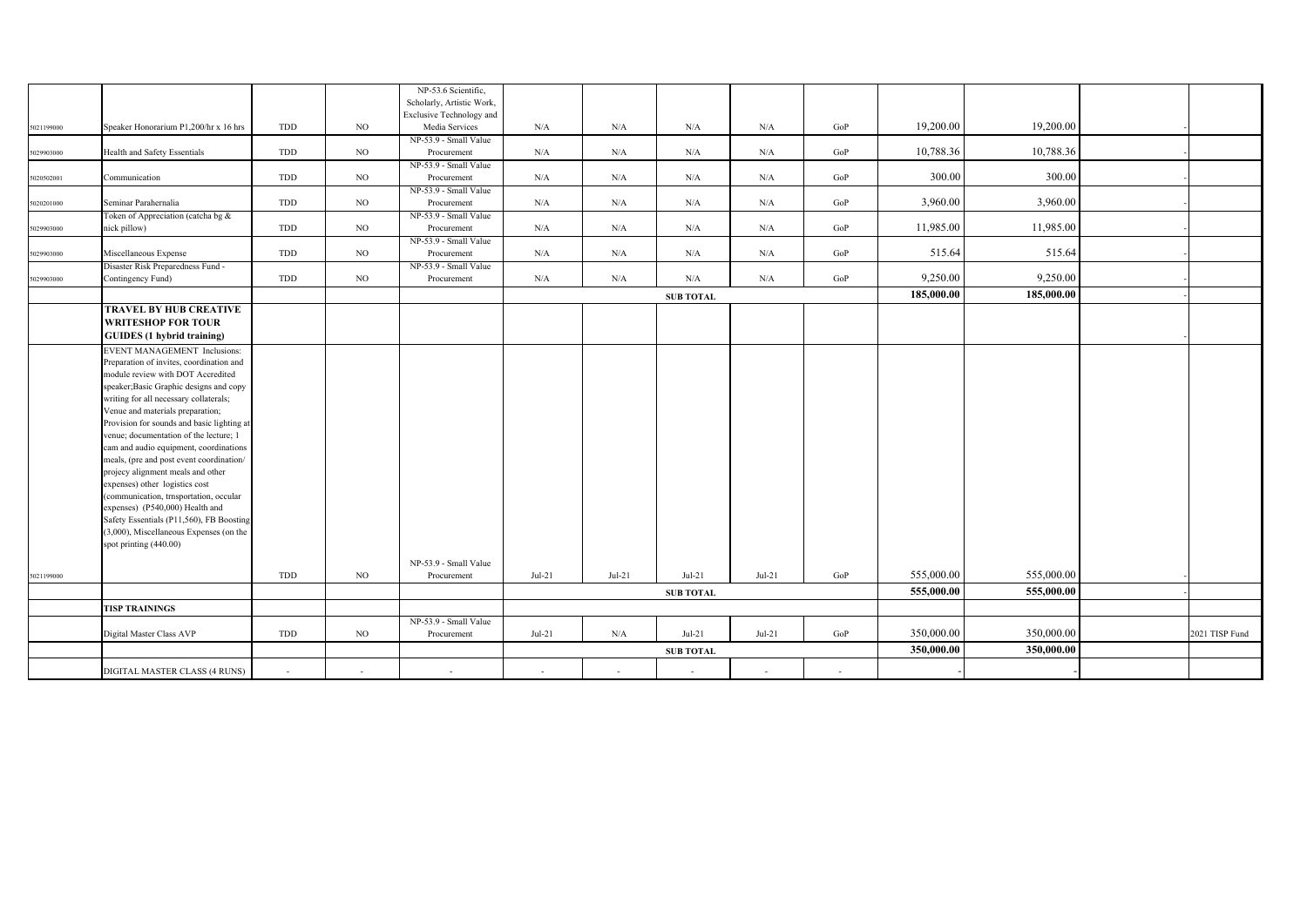|            |                                                                             |     |     | NP-53.6 Scientific,<br>Scholarly, Artistic Work, |          |          |                  |          |     |            |            |                |
|------------|-----------------------------------------------------------------------------|-----|-----|--------------------------------------------------|----------|----------|------------------|----------|-----|------------|------------|----------------|
|            |                                                                             |     |     | Exclusive Technology and                         |          |          |                  |          |     |            |            |                |
| 5021199000 | Speaker Honorarium P1,200/hr x 16 hrs                                       | TDD | NO. | Media Services                                   | N/A      | N/A      | N/A              | N/A      | GoP | 19,200.00  | 19,200.00  |                |
|            |                                                                             |     |     | NP-53.9 - Small Value                            |          |          |                  |          |     |            |            |                |
| 6029903000 | Health and Safety Essentials                                                | TDD | NO. | Procurement                                      | N/A      | N/A      | N/A              | N/A      | GoP | 10,788.36  | 10,788.36  |                |
|            |                                                                             |     |     | NP-53.9 - Small Value                            |          |          |                  |          |     |            |            |                |
| 5020502001 | Communication                                                               | TDD | NO. | Procurement                                      | N/A      | N/A      | N/A              | N/A      | GoP | 300.00     | 300.00     |                |
|            |                                                                             |     |     | NP-53.9 - Small Value                            |          |          |                  |          |     | 3,960.00   | 3,960.00   |                |
| 5020201000 | Seminar Parahernalia                                                        | TDD | NO  | Procurement                                      | N/A      | N/A      | $\rm N/A$        | N/A      | GoP |            |            |                |
| 6029903000 | Token of Appreciation (catcha bg &<br>nick pillow)                          | TDD | NO. | NP-53.9 - Small Value<br>Procurement             | N/A      | N/A      | N/A              | N/A      | GoP | 11,985.00  | 11,985.00  |                |
|            |                                                                             |     |     | NP-53.9 - Small Value                            |          |          |                  |          |     |            |            |                |
| 5029903000 | Miscellaneous Expense                                                       | TDD | NO  | Procurement                                      | N/A      | N/A      | N/A              | N/A      | GoP | 515.64     | 515.64     |                |
|            | Disaster Risk Preparedness Fund -                                           |     |     | NP-53.9 - Small Value                            |          |          |                  |          |     |            |            |                |
| 5029903000 | Contingency Fund)                                                           | TDD | NO. | Procurement                                      | N/A      | N/A      | N/A              | N/A      | GoP | 9,250.00   | 9,250.00   |                |
|            |                                                                             |     |     |                                                  |          |          | <b>SUB TOTAL</b> |          |     | 185,000.00 | 185,000.00 |                |
|            | <b>TRAVEL BY HUB CREATIVE</b>                                               |     |     |                                                  |          |          |                  |          |     |            |            |                |
|            | <b>WRITESHOP FOR TOUR</b>                                                   |     |     |                                                  |          |          |                  |          |     |            |            |                |
|            | <b>GUIDES</b> (1 hybrid training)                                           |     |     |                                                  |          |          |                  |          |     |            |            |                |
|            | <b>EVENT MANAGEMENT Inclusions:</b>                                         |     |     |                                                  |          |          |                  |          |     |            |            |                |
|            | Preparation of invites, coordination and                                    |     |     |                                                  |          |          |                  |          |     |            |            |                |
|            | module review with DOT Accredited                                           |     |     |                                                  |          |          |                  |          |     |            |            |                |
|            | speaker; Basic Graphic designs and copy                                     |     |     |                                                  |          |          |                  |          |     |            |            |                |
|            | writing for all necessary collaterals;                                      |     |     |                                                  |          |          |                  |          |     |            |            |                |
|            | Venue and materials preparation;                                            |     |     |                                                  |          |          |                  |          |     |            |            |                |
|            | Provision for sounds and basic lighting at                                  |     |     |                                                  |          |          |                  |          |     |            |            |                |
|            | venue; documentation of the lecture; 1                                      |     |     |                                                  |          |          |                  |          |     |            |            |                |
|            | cam and audio equipment, coordinations                                      |     |     |                                                  |          |          |                  |          |     |            |            |                |
|            | meals, (pre and post event coordination/                                    |     |     |                                                  |          |          |                  |          |     |            |            |                |
|            | projecy alignment meals and other                                           |     |     |                                                  |          |          |                  |          |     |            |            |                |
|            | expenses) other logistics cost                                              |     |     |                                                  |          |          |                  |          |     |            |            |                |
|            | communication, trnsportation, occular                                       |     |     |                                                  |          |          |                  |          |     |            |            |                |
|            | expenses) (P540,000) Health and<br>Safety Essentials (P11,560), FB Boosting |     |     |                                                  |          |          |                  |          |     |            |            |                |
|            | (3,000), Miscellaneous Expenses (on the                                     |     |     |                                                  |          |          |                  |          |     |            |            |                |
|            | spot printing (440.00)                                                      |     |     |                                                  |          |          |                  |          |     |            |            |                |
|            |                                                                             |     |     |                                                  |          |          |                  |          |     |            |            |                |
|            |                                                                             |     |     | NP-53.9 - Small Value                            |          |          |                  |          |     | 555,000.00 | 555,000.00 |                |
| 5021199000 |                                                                             | TDD | NO. | Procurement                                      | $Jul-21$ | $Jul-21$ | $Jul-21$         | $Jul-21$ | GoP |            |            |                |
|            |                                                                             |     |     |                                                  |          |          | <b>SUB TOTAL</b> |          |     | 555,000.00 | 555,000.00 |                |
|            | <b>TISP TRAININGS</b>                                                       |     |     |                                                  |          |          |                  |          |     |            |            |                |
|            |                                                                             |     |     | NP-53.9 - Small Value                            |          |          |                  |          |     |            |            |                |
|            | Digital Master Class AVP                                                    | TDD | NO  | Procurement                                      | $Jul-21$ | N/A      | $Jul-21$         | $Jul-21$ | GoP | 350,000.00 | 350,000.00 | 2021 TISP Fund |
|            |                                                                             |     |     |                                                  |          |          | <b>SUB TOTAL</b> |          |     | 350,000.00 | 350,000.00 |                |
|            | DIGITAL MASTER CLASS (4 RUNS)                                               |     |     | $\sim$                                           |          |          |                  |          |     |            |            |                |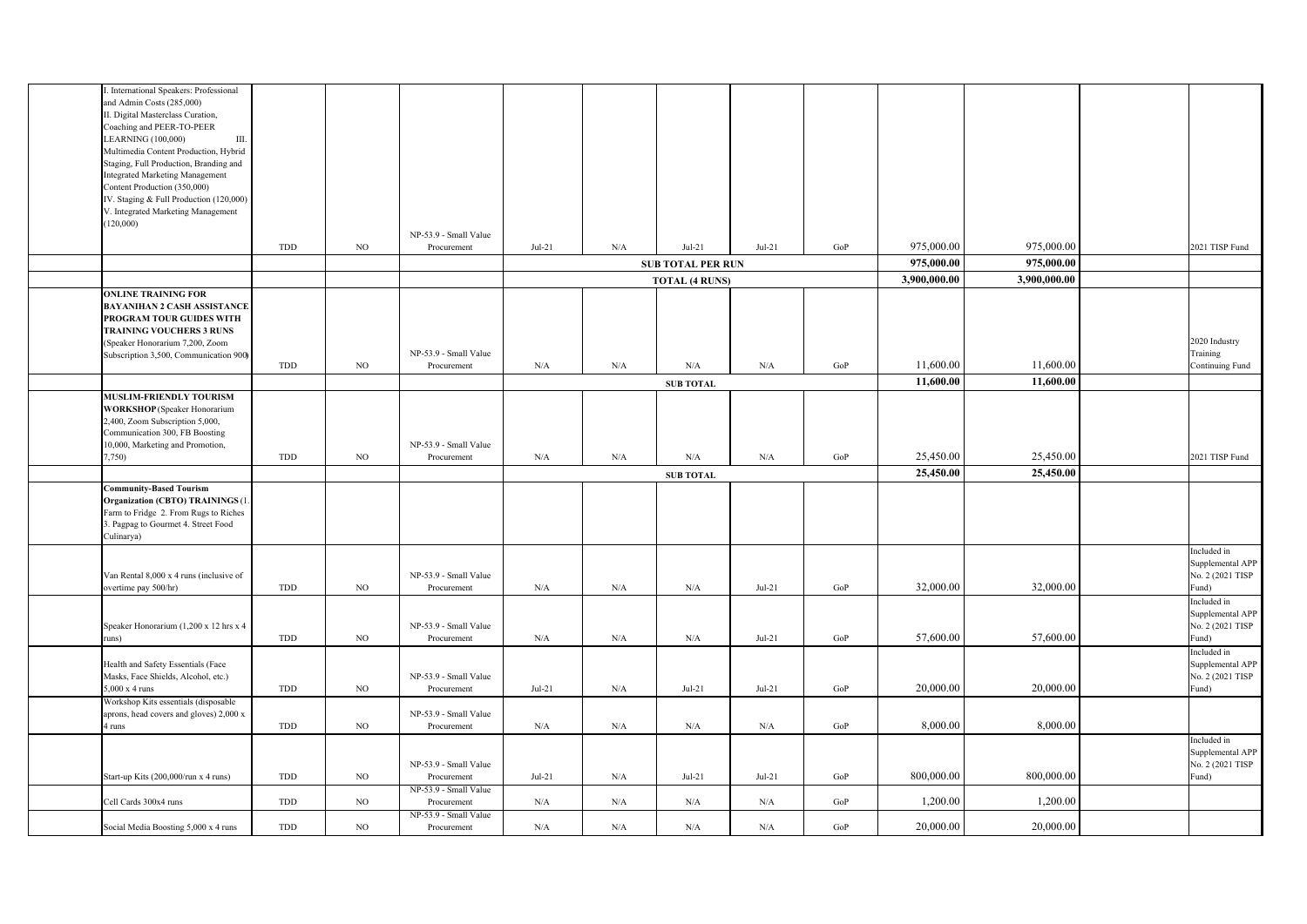| . International Speakers: Professional  |     |             |                       |          |     |                          |          |           |              |              |                  |
|-----------------------------------------|-----|-------------|-----------------------|----------|-----|--------------------------|----------|-----------|--------------|--------------|------------------|
| and Admin Costs (285,000)               |     |             |                       |          |     |                          |          |           |              |              |                  |
| II. Digital Masterclass Curation,       |     |             |                       |          |     |                          |          |           |              |              |                  |
| Coaching and PEER-TO-PEER               |     |             |                       |          |     |                          |          |           |              |              |                  |
| LEARNING (100,000)<br>Ш.                |     |             |                       |          |     |                          |          |           |              |              |                  |
| Multimedia Content Production, Hybrid   |     |             |                       |          |     |                          |          |           |              |              |                  |
| Staging, Full Production, Branding and  |     |             |                       |          |     |                          |          |           |              |              |                  |
| <b>Integrated Marketing Management</b>  |     |             |                       |          |     |                          |          |           |              |              |                  |
| Content Production (350,000)            |     |             |                       |          |     |                          |          |           |              |              |                  |
| IV. Staging & Full Production (120,000) |     |             |                       |          |     |                          |          |           |              |              |                  |
| V. Integrated Marketing Management      |     |             |                       |          |     |                          |          |           |              |              |                  |
| (120,000)                               |     |             |                       |          |     |                          |          |           |              |              |                  |
|                                         |     |             | NP-53.9 - Small Value |          |     |                          |          |           |              |              |                  |
|                                         | TDD | NO          | Procurement           | $Jul-21$ | N/A | $Jul-21$                 | $Jul-21$ | GoP       | 975,000.00   | 975,000.00   | 2021 TISP Fund   |
|                                         |     |             |                       |          |     |                          |          |           |              |              |                  |
|                                         |     |             |                       |          |     | <b>SUB TOTAL PER RUN</b> |          |           | 975,000.00   | 975,000.00   |                  |
|                                         |     |             |                       |          |     | <b>TOTAL (4 RUNS)</b>    |          |           | 3,900,000.00 | 3,900,000.00 |                  |
| <b>ONLINE TRAINING FOR</b>              |     |             |                       |          |     |                          |          |           |              |              |                  |
| <b>BAYANIHAN 2 CASH ASSISTANCE</b>      |     |             |                       |          |     |                          |          |           |              |              |                  |
| PROGRAM TOUR GUIDES WITH                |     |             |                       |          |     |                          |          |           |              |              |                  |
| <b>TRAINING VOUCHERS 3 RUNS</b>         |     |             |                       |          |     |                          |          |           |              |              |                  |
| (Speaker Honorarium 7,200, Zoom         |     |             |                       |          |     |                          |          |           |              |              | 2020 Industry    |
| Subscription 3,500, Communication 900)  |     |             | NP-53.9 - Small Value |          |     |                          |          |           |              |              | Training         |
|                                         | TDD | NO.         | Procurement           | N/A      | N/A | N/A                      | N/A      | GoP       | 11,600.00    | 11,600.00    | Continuing Fund  |
|                                         |     |             |                       |          |     |                          |          |           | 11,600.00    | 11,600.00    |                  |
| MUSLIM-FRIENDLY TOURISM                 |     |             |                       |          |     | <b>SUB TOTAL</b>         |          |           |              |              |                  |
|                                         |     |             |                       |          |     |                          |          |           |              |              |                  |
| <b>WORKSHOP</b> (Speaker Honorarium     |     |             |                       |          |     |                          |          |           |              |              |                  |
| 2,400, Zoom Subscription 5,000,         |     |             |                       |          |     |                          |          |           |              |              |                  |
| Communication 300, FB Boosting          |     |             |                       |          |     |                          |          |           |              |              |                  |
| 10,000, Marketing and Promotion,        |     |             | NP-53.9 - Small Value |          |     |                          |          |           |              |              |                  |
| 7,750)                                  | TDD | NO.         | Procurement           | N/A      | N/A | N/A                      | N/A      | GoP       | 25,450.00    | 25,450.00    | 2021 TISP Fund   |
|                                         |     |             |                       |          |     | <b>SUB TOTAL</b>         |          |           | 25,450.00    | 25,450.00    |                  |
| <b>Community-Based Tourism</b>          |     |             |                       |          |     |                          |          |           |              |              |                  |
| Organization (CBTO) TRAININGS (1.       |     |             |                       |          |     |                          |          |           |              |              |                  |
| Farm to Fridge 2. From Rugs to Riches   |     |             |                       |          |     |                          |          |           |              |              |                  |
| 3. Pagpag to Gourmet 4. Street Food     |     |             |                       |          |     |                          |          |           |              |              |                  |
| Culinarya)                              |     |             |                       |          |     |                          |          |           |              |              |                  |
|                                         |     |             |                       |          |     |                          |          |           |              |              | Included in      |
|                                         |     |             |                       |          |     |                          |          |           |              |              | Supplemental APP |
| Van Rental 8,000 x 4 runs (inclusive of |     |             | NP-53.9 - Small Value |          |     |                          |          |           |              |              | No. 2 (2021 TISP |
| overtime pay 500/hr)                    | TDD | NO          | Procurement           | N/A      | N/A | N/A                      | $Jul-21$ | $\rm GoP$ | 32,000.00    | 32,000.00    | Fund)            |
|                                         |     |             |                       |          |     |                          |          |           |              |              | Included in      |
|                                         |     |             |                       |          |     |                          |          |           |              |              | Supplemental APP |
|                                         |     |             |                       |          |     |                          |          |           |              |              |                  |
| Speaker Honorarium (1,200 x 12 hrs x 4  | TDD | NO          | NP-53.9 - Small Value |          |     |                          |          | GoP       | 57,600.00    | 57,600.00    | No. 2 (2021 TISP |
| runs)                                   |     |             | Procurement           | N/A      | N/A | $\rm N/A$                | $Jul-21$ |           |              |              | Fund)            |
|                                         |     |             |                       |          |     |                          |          |           |              |              | Included in      |
| Health and Safety Essentials (Face      |     |             |                       |          |     |                          |          |           |              |              | Supplemental APP |
| Masks, Face Shields, Alcohol, etc.)     |     |             | NP-53.9 - Small Value |          |     |                          |          |           |              |              | No. 2 (2021 TISP |
| $5,000 \times 4$ runs                   | TDD | NO          | Procurement           | $Jul-21$ | N/A | $Jul-21$                 | $Jul-21$ | GoP       | 20,000.00    | 20,000.00    | Fund)            |
| Workshop Kits essentials (disposable    |     |             |                       |          |     |                          |          |           |              |              |                  |
| aprons, head covers and gloves) 2,000 x |     |             | NP-53.9 - Small Value |          |     |                          |          |           |              |              |                  |
| 4 runs                                  | TDD | NO          | Procurement           | N/A      | N/A | N/A                      | N/A      | GoP       | 8,000.00     | 8,000.00     |                  |
|                                         |     |             |                       |          |     |                          |          |           |              |              | Included in      |
|                                         |     |             |                       |          |     |                          |          |           |              |              | Supplemental APP |
|                                         |     |             | NP-53.9 - Small Value |          |     |                          |          |           |              |              | No. 2 (2021 TISP |
| Start-up Kits (200,000/run x 4 runs)    | TDD | NO          | Procurement           | $Jul-21$ | N/A | $Jul-21$                 | $Jul-21$ | GoP       | 800,000.00   | 800,000.00   | Fund)            |
|                                         |     |             | NP-53.9 - Small Value |          |     |                          |          |           |              |              |                  |
| Cell Cards 300x4 runs                   | TDD | $_{\rm NO}$ | Procurement           | N/A      | N/A | N/A                      | N/A      | $\rm GoP$ | 1,200.00     | 1,200.00     |                  |
|                                         |     |             | NP-53.9 - Small Value |          |     |                          |          |           |              |              |                  |
| Social Media Boosting 5,000 x 4 runs    | TDD | NO.         | Procurement           | N/A      | N/A | N/A                      | N/A      | GoP       | 20,000.00    | 20,000.00    |                  |
|                                         |     |             |                       |          |     |                          |          |           |              |              |                  |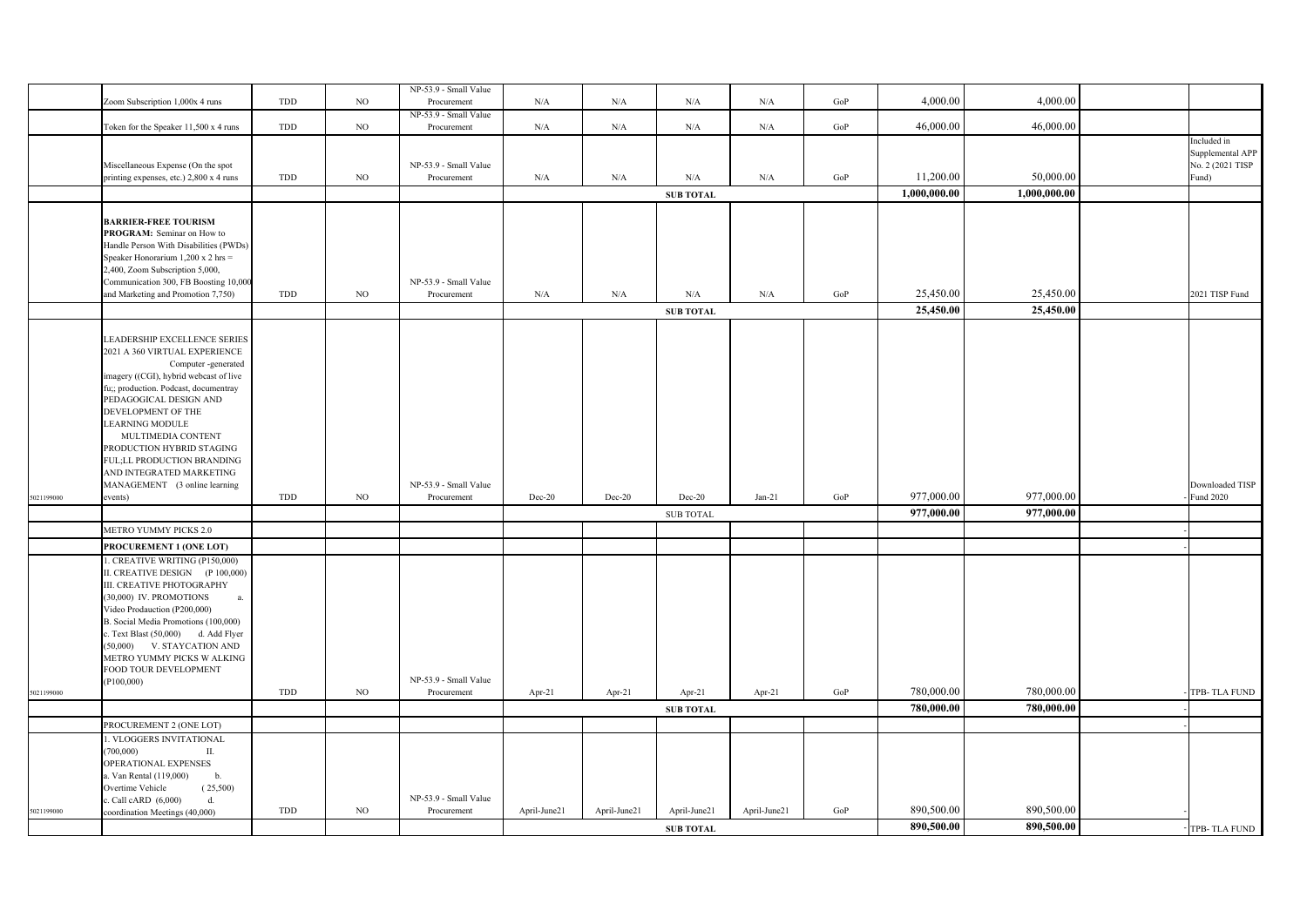|            |                                                                                                                                                                                                                                                                                                                                                                                                 |     |             | NP-53.9 - Small Value                |              |              |                  |              |           |              |              |                                                              |
|------------|-------------------------------------------------------------------------------------------------------------------------------------------------------------------------------------------------------------------------------------------------------------------------------------------------------------------------------------------------------------------------------------------------|-----|-------------|--------------------------------------|--------------|--------------|------------------|--------------|-----------|--------------|--------------|--------------------------------------------------------------|
|            | Zoom Subscription 1,000x 4 runs                                                                                                                                                                                                                                                                                                                                                                 | TDD | NO          | Procurement                          | N/A          | $\rm N/A$    | $\rm N/A$        | N/A          | $\rm GoP$ | 4,000.00     | 4,000.00     |                                                              |
|            |                                                                                                                                                                                                                                                                                                                                                                                                 |     |             | NP-53.9 - Small Value                |              |              |                  |              |           |              |              |                                                              |
|            | Token for the Speaker 11,500 x 4 runs                                                                                                                                                                                                                                                                                                                                                           | TDD | NO          | Procurement                          | N/A          | $\rm N/A$    | $\rm N/A$        | $\rm N/A$    | GoP       | 46,000.00    | 46,000.00    |                                                              |
|            | Miscellaneous Expense (On the spot<br>printing expenses, etc.) 2,800 x 4 runs                                                                                                                                                                                                                                                                                                                   | TDD | NO          | NP-53.9 - Small Value<br>Procurement | N/A          | N/A          | N/A              | N/A          | GoP       | 11,200.00    | 50,000.00    | Included in<br>Supplemental APP<br>No. 2 (2021 TISP<br>Fund) |
|            |                                                                                                                                                                                                                                                                                                                                                                                                 |     |             |                                      |              |              | <b>SUB TOTAL</b> |              |           | 1,000,000.00 | 1,000,000.00 |                                                              |
|            | <b>BARRIER-FREE TOURISM</b><br>PROGRAM: Seminar on How to<br>Handle Person With Disabilities (PWDs)<br>Speaker Honorarium 1,200 x 2 hrs =<br>2,400, Zoom Subscription 5,000,<br>Communication 300, FB Boosting 10,000<br>and Marketing and Promotion 7,750)                                                                                                                                     | TDD | NO          | NP-53.9 - Small Value<br>Procurement | N/A          | N/A          | $\rm N/A$        | N/A          | GoP       | 25,450.00    | 25,450.00    | 2021 TISP Fund                                               |
|            |                                                                                                                                                                                                                                                                                                                                                                                                 |     |             |                                      |              |              | <b>SUB TOTAL</b> |              |           | 25,450.00    | 25,450.00    |                                                              |
|            | LEADERSHIP EXCELLENCE SERIES<br>2021 A 360 VIRTUAL EXPERIENCE<br>Computer -generated<br>imagery ((CGI), hybrid webcast of live<br>fu;; production. Podcast, documentray<br>PEDAGOGICAL DESIGN AND<br>DEVELOPMENT OF THE<br><b>LEARNING MODULE</b><br>MULTIMEDIA CONTENT<br>PRODUCTION HYBRID STAGING<br>FUL;LL PRODUCTION BRANDING<br>AND INTEGRATED MARKETING<br>MANAGEMENT (3 online learning |     |             | NP-53.9 - Small Value                |              |              |                  |              |           |              |              | Downloaded TISP                                              |
| 5021199000 | events)                                                                                                                                                                                                                                                                                                                                                                                         | TDD | $_{\rm NO}$ | Procurement                          | Dec-20       | Dec-20       | $Dec-20$         | $Jan-21$     | $\rm GoP$ | 977,000.00   | 977,000.00   | Fund 2020                                                    |
|            |                                                                                                                                                                                                                                                                                                                                                                                                 |     |             |                                      |              |              | SUB TOTAL        |              |           | 977,000.00   | 977,000.00   |                                                              |
|            | METRO YUMMY PICKS 2.0                                                                                                                                                                                                                                                                                                                                                                           |     |             |                                      |              |              |                  |              |           |              |              |                                                              |
|            | PROCUREMENT 1 (ONE LOT)                                                                                                                                                                                                                                                                                                                                                                         |     |             |                                      |              |              |                  |              |           |              |              |                                                              |
|            | . CREATIVE WRITING (P150,000)<br>II. CREATIVE DESIGN (P 100,000)<br>III. CREATIVE PHOTOGRAPHY<br>(30,000) IV. PROMOTIONS<br>a.<br>Video Prodauction (P200,000)<br>B. Social Media Promotions (100,000)<br>c. Text Blast (50,000) d. Add Flyer<br>(50,000)<br>V. STAYCATION AND<br>METRO YUMMY PICKS W ALKING<br>FOOD TOUR DEVELOPMENT<br>(P100,000)                                             |     |             | NP-53.9 - Small Value                |              |              |                  |              |           |              |              |                                                              |
| 5021199000 |                                                                                                                                                                                                                                                                                                                                                                                                 | TDD | NO          | Procurement                          | Apr-21       | Apr-21       | Apr-21           | Apr-21       | $\rm GoP$ | 780,000.00   | 780,000.00   | TPB-TLA FUND                                                 |
|            |                                                                                                                                                                                                                                                                                                                                                                                                 |     |             |                                      |              |              | <b>SUB TOTAL</b> |              |           | 780,000.00   | 780,000.00   |                                                              |
|            | PROCUREMENT 2 (ONE LOT)                                                                                                                                                                                                                                                                                                                                                                         |     |             |                                      |              |              |                  |              |           |              |              |                                                              |
|            | I. VLOGGERS INVITATIONAL<br>(700,000)<br>П.<br>OPERATIONAL EXPENSES<br>a. Van Rental (119,000)<br>$\mathbf b$ .<br>(25,500)<br>Overtime Vehicle<br>c. Call cARD $(6,000)$<br>d.                                                                                                                                                                                                                 |     |             | NP-53.9 - Small Value                |              |              |                  |              |           |              |              |                                                              |
| 5021199000 | coordination Meetings (40,000)                                                                                                                                                                                                                                                                                                                                                                  | TDD | NO          | Procurement                          | April-June21 | April-June21 | April-June21     | April-June21 | GoP       | 890,500.00   | 890,500.00   |                                                              |
|            |                                                                                                                                                                                                                                                                                                                                                                                                 |     |             |                                      |              |              | <b>SUB TOTAL</b> |              |           | 890,500.00   | 890,500.00   | TPB-TLA FUND                                                 |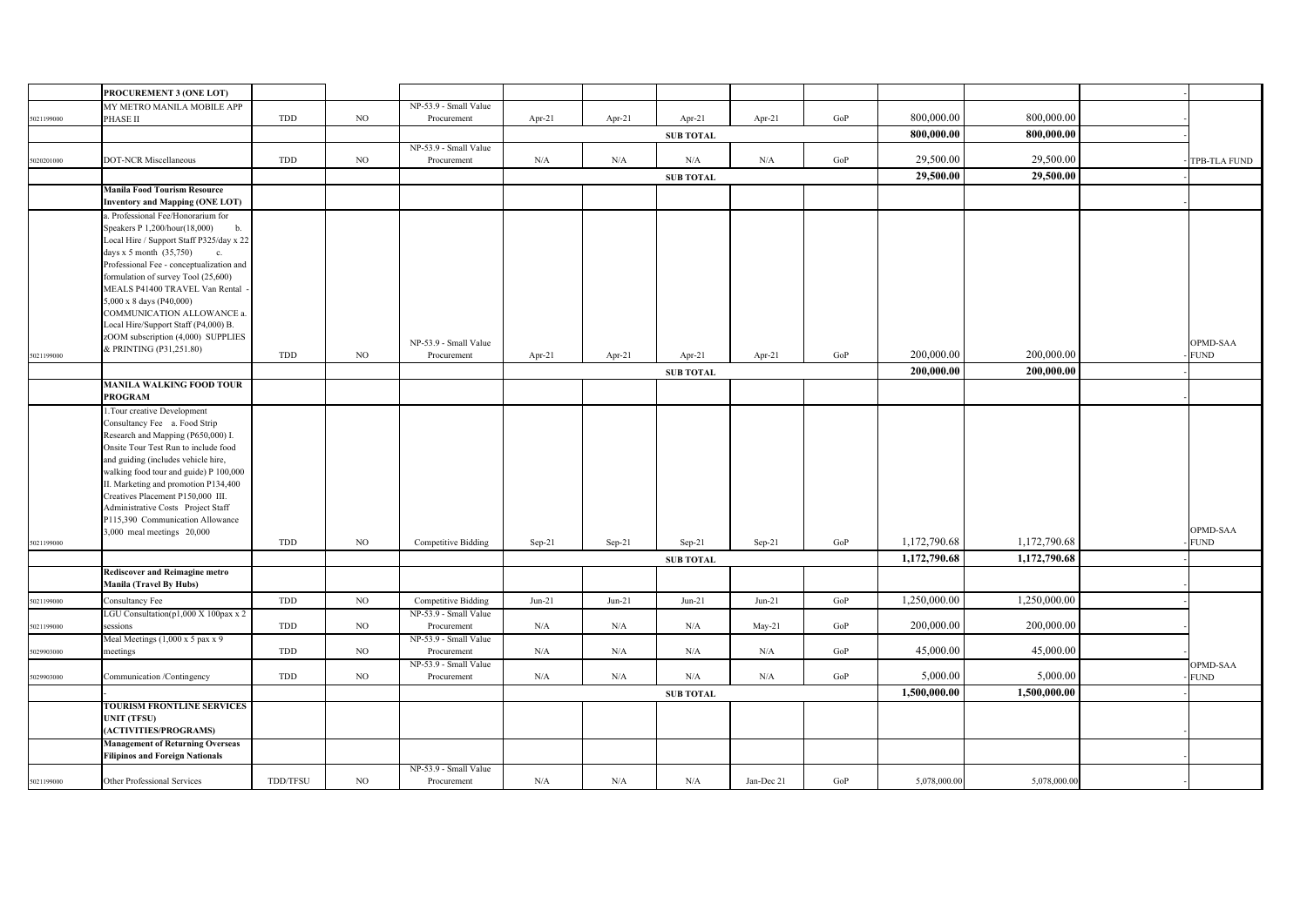|            | PROCUREMENT 3 (ONE LOT)                                                           |          |             |                                      |             |          |                  |            |     |              |              |              |
|------------|-----------------------------------------------------------------------------------|----------|-------------|--------------------------------------|-------------|----------|------------------|------------|-----|--------------|--------------|--------------|
|            | MY METRO MANILA MOBILE APP                                                        |          |             | NP-53.9 - Small Value                |             |          |                  |            |     |              |              |              |
| 5021199000 | PHASE II                                                                          | TDD      | $_{\rm NO}$ | Procurement                          | Apr-21      | Apr-21   | Apr-21           | Apr-21     | GoP | 800,000.00   | 800,000.00   |              |
|            |                                                                                   |          |             | <b>SUB TOTAL</b>                     |             |          |                  |            |     | 800,000.00   | 800,000.00   |              |
|            | <b>DOT-NCR Miscellaneous</b>                                                      | TDD      | $_{\rm NO}$ | NP-53.9 - Small Value<br>Procurement | N/A         | N/A      |                  |            | GoP | 29,500.00    | 29,500.00    |              |
| 5020201000 |                                                                                   |          |             |                                      |             |          | N/A              | N/A        |     |              |              | TPB-TLA FUND |
|            | <b>Manila Food Tourism Resource</b>                                               |          |             |                                      |             |          | <b>SUB TOTAL</b> |            |     | 29,500.00    | 29,500.00    |              |
|            | <b>Inventory and Mapping (ONE LOT)</b>                                            |          |             |                                      |             |          |                  |            |     |              |              |              |
|            | a. Professional Fee/Honorarium for                                                |          |             |                                      |             |          |                  |            |     |              |              |              |
|            | Speakers P 1,200/hour(18,000)<br>b.                                               |          |             |                                      |             |          |                  |            |     |              |              |              |
|            | Local Hire / Support Staff P325/day x 22                                          |          |             |                                      |             |          |                  |            |     |              |              |              |
|            | days $x 5$ month $(35,750)$<br>c.                                                 |          |             |                                      |             |          |                  |            |     |              |              |              |
|            | Professional Fee - conceptualization and                                          |          |             |                                      |             |          |                  |            |     |              |              |              |
|            | formulation of survey Tool (25,600)<br>MEALS P41400 TRAVEL Van Rental             |          |             |                                      |             |          |                  |            |     |              |              |              |
|            | 5,000 x 8 days (P40,000)                                                          |          |             |                                      |             |          |                  |            |     |              |              |              |
|            | COMMUNICATION ALLOWANCE a.                                                        |          |             |                                      |             |          |                  |            |     |              |              |              |
|            | Local Hire/Support Staff (P4,000) B.                                              |          |             |                                      |             |          |                  |            |     |              |              |              |
|            | zOOM subscription (4,000) SUPPLIES                                                |          |             | NP-53.9 - Small Value                |             |          |                  |            |     |              |              | OPMD-SAA     |
| 5021199000 | & PRINTING (P31,251.80)                                                           | TDD      | NO.         | Procurement                          | Apr-21      | Apr-21   | Apr-21           | Apr-21     | GoP | 200,000.00   | 200,000.00   | <b>FUND</b>  |
|            |                                                                                   |          |             |                                      |             |          | <b>SUB TOTAL</b> |            |     | 200,000.00   | 200,000.00   |              |
|            | <b>MANILA WALKING FOOD TOUR</b>                                                   |          |             |                                      |             |          |                  |            |     |              |              |              |
|            | <b>PROGRAM</b>                                                                    |          |             |                                      |             |          |                  |            |     |              |              |              |
|            | .Tour creative Development                                                        |          |             |                                      |             |          |                  |            |     |              |              |              |
|            | Consultancy Fee a. Food Strip<br>Research and Mapping (P650,000) I.               |          |             |                                      |             |          |                  |            |     |              |              |              |
|            | Onsite Tour Test Run to include food                                              |          |             |                                      |             |          |                  |            |     |              |              |              |
|            | and guiding (includes vehicle hire,                                               |          |             |                                      |             |          |                  |            |     |              |              |              |
|            | walking food tour and guide) P 100,000                                            |          |             |                                      |             |          |                  |            |     |              |              |              |
|            | II. Marketing and promotion P134,400                                              |          |             |                                      |             |          |                  |            |     |              |              |              |
|            | Creatives Placement P150,000 III.                                                 |          |             |                                      |             |          |                  |            |     |              |              |              |
|            | Administrative Costs Project Staff<br>P115,390 Communication Allowance            |          |             |                                      |             |          |                  |            |     |              |              |              |
|            | 3,000 meal meetings 20,000                                                        |          |             |                                      |             |          |                  |            |     |              |              | OPMD-SAA     |
| 5021199000 |                                                                                   | TDD      | $_{\rm NO}$ | <b>Competitive Bidding</b>           | $Sep-21$    | Sep-21   | Sep-21           | Sep-21     | GoP | 1,172,790.68 | 1,172,790.68 | <b>FUND</b>  |
|            |                                                                                   |          |             |                                      |             |          | <b>SUB TOTAL</b> |            |     | 1,172,790.68 | 1,172,790.68 |              |
|            | <b>Rediscover and Reimagine metro</b>                                             |          |             |                                      |             |          |                  |            |     |              |              |              |
|            | <b>Manila (Travel By Hubs)</b>                                                    |          |             |                                      |             |          |                  |            |     |              |              |              |
| 5021199000 | Consultancy Fee                                                                   | TDD      | NO.         | <b>Competitive Bidding</b>           | $Jun-21$    | $Jun-21$ | $Jun-21$         | $Jun-21$   | GoP | 1,250,000.00 | 1,250,000.00 |              |
|            | LGU Consultation(p1,000 X 100pax x 2                                              |          |             | NP-53.9 - Small Value                |             |          |                  |            |     |              |              |              |
| 5021199000 | sessions<br>Meal Meetings $(1,000 \times 5)$ pax $x 9$                            | TDD      | NO          | Procurement<br>NP-53.9 - Small Value | N/A         | N/A      | N/A              | $May-21$   | GoP | 200,000.00   | 200,000.00   |              |
| 5029903000 | meetings                                                                          | TDD      | $_{\rm NO}$ | Procurement                          | ${\rm N/A}$ | N/A      | N/A              | N/A        | GoP | 45,000.00    | 45,000.00    |              |
|            |                                                                                   |          |             | NP-53.9 - Small Value                |             |          |                  |            |     |              |              | OPMD-SAA     |
| 5029903000 | Communication /Contingency                                                        | TDD      | NO          | Procurement                          | N/A         | N/A      | N/A              | N/A        | GoP | 5,000.00     | 5,000.00     | <b>FUND</b>  |
|            |                                                                                   |          |             |                                      |             |          | <b>SUB TOTAL</b> |            |     | 1,500,000.00 | 1,500,000.00 |              |
|            | <b>TOURISM FRONTLINE SERVICES</b>                                                 |          |             |                                      |             |          |                  |            |     |              |              |              |
|            | <b>UNIT (TFSU)</b>                                                                |          |             |                                      |             |          |                  |            |     |              |              |              |
|            | (ACTIVITIES/PROGRAMS)                                                             |          |             |                                      |             |          |                  |            |     |              |              |              |
|            | <b>Management of Returning Overseas</b><br><b>Filipinos and Foreign Nationals</b> |          |             |                                      |             |          |                  |            |     |              |              |              |
|            |                                                                                   |          |             | NP-53.9 - Small Value                |             |          |                  |            |     |              |              |              |
| 5021199000 | Other Professional Services                                                       | TDD/TFSU | NO.         | Procurement                          | N/A         | N/A      | N/A              | Jan-Dec 21 | GoP | 5,078,000.00 | 5,078,000.00 |              |
|            |                                                                                   |          |             |                                      |             |          |                  |            |     |              |              |              |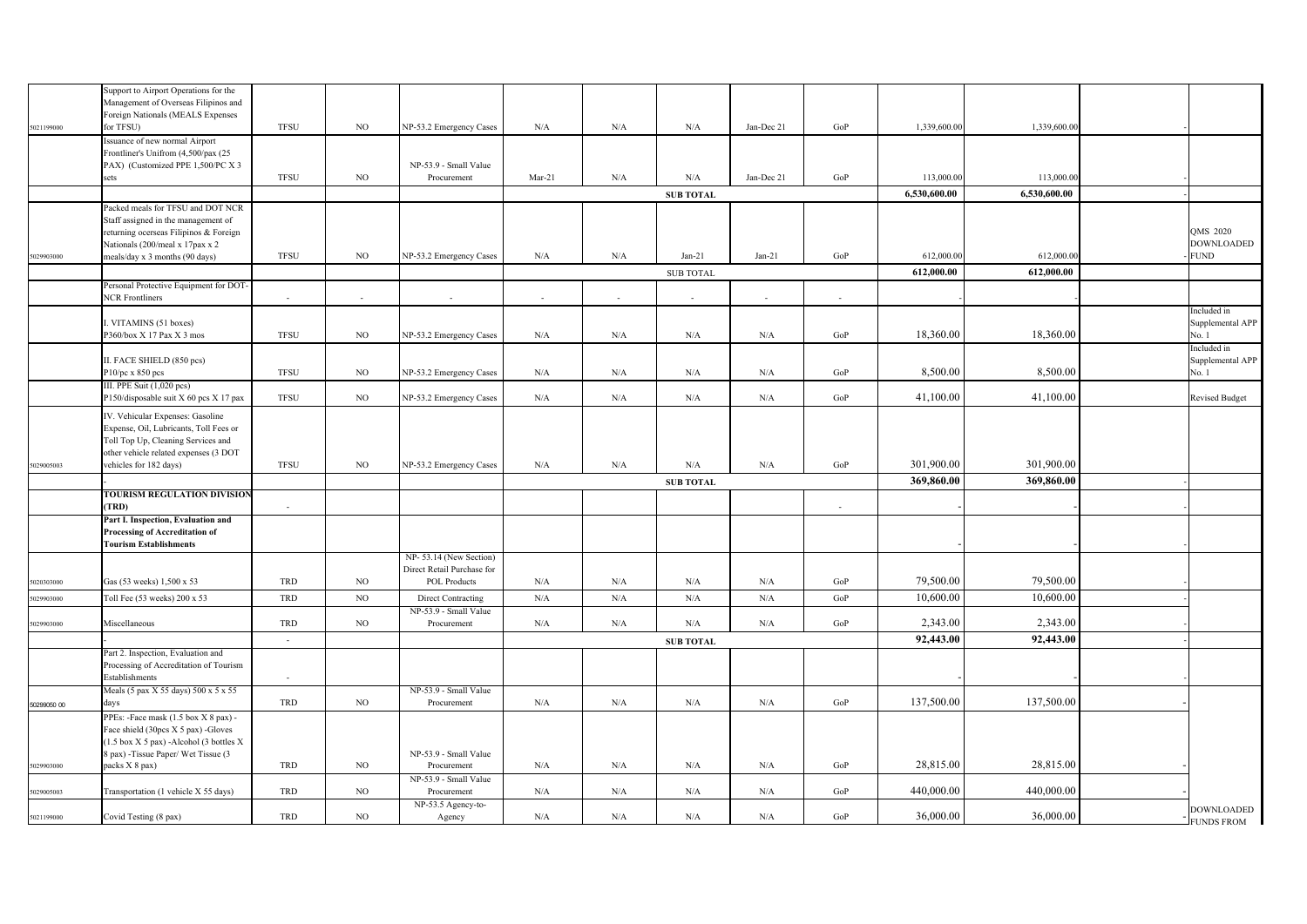|             | Support to Airport Operations for the                                          |             |             |                                             |           |             |                  |            |        |              |              |                           |
|-------------|--------------------------------------------------------------------------------|-------------|-------------|---------------------------------------------|-----------|-------------|------------------|------------|--------|--------------|--------------|---------------------------|
|             | Management of Overseas Filipinos and<br>Foreign Nationals (MEALS Expenses      |             |             |                                             |           |             |                  |            |        |              |              |                           |
| 5021199000  | for TFSU)                                                                      | <b>TFSU</b> | NO          | NP-53.2 Emergency Cases                     | N/A       | N/A         | $\rm N/A$        | Jan-Dec 21 | GoP    | 1,339,600.00 | 1,339,600.00 |                           |
|             | Issuance of new normal Airport                                                 |             |             |                                             |           |             |                  |            |        |              |              |                           |
|             | Frontliner's Unifrom (4,500/pax (25<br>PAX) (Customized PPE 1,500/PC X 3       |             |             | NP-53.9 - Small Value                       |           |             |                  |            |        |              |              |                           |
|             | sets                                                                           | <b>TFSU</b> | NO          | Procurement                                 | Mar-21    | N/A         | $\rm N/A$        | Jan-Dec 21 | GoP    | 113,000.00   | 113,000.00   |                           |
|             |                                                                                |             |             |                                             |           |             | <b>SUB TOTAL</b> |            |        | 6,530,600.00 | 6,530,600.00 |                           |
|             | Packed meals for TFSU and DOT NCR                                              |             |             |                                             |           |             |                  |            |        |              |              |                           |
|             | Staff assigned in the management of                                            |             |             |                                             |           |             |                  |            |        |              |              |                           |
|             | returning ocerseas Filipinos & Foreign                                         |             |             |                                             |           |             |                  |            |        |              |              | <b>OMS 2020</b>           |
|             | Nationals (200/meal x 17pax x 2                                                |             |             |                                             |           |             |                  |            |        |              |              | <b>DOWNLOADED</b>         |
| 5029903000  | meals/day x 3 months (90 days)                                                 | <b>TFSU</b> | NO          | NP-53.2 Emergency Cases                     | N/A       | N/A         | $Jan-21$         | $Jan-21$   | GoP    | 612,000.00   | 612,000.00   | <b>FUND</b>               |
|             |                                                                                |             |             |                                             |           |             | <b>SUB TOTAL</b> |            |        | 612,000.00   | 612,000.00   |                           |
|             | Personal Protective Equipment for DOT-<br><b>NCR</b> Frontliners               | $\sim$      | $\sim$      | ÷.                                          | $\sim$    | $\sim$      | $\sim$           | $\sim$     | $\sim$ |              |              |                           |
|             |                                                                                |             |             |                                             |           |             |                  |            |        |              |              | Included in               |
|             | I. VITAMINS (51 boxes)                                                         |             |             |                                             |           |             |                  |            |        |              |              | Supplemental APP          |
|             | P360/box X 17 Pax X 3 mos                                                      | <b>TFSU</b> | NO          | NP-53.2 Emergency Cases                     | N/A       | N/A         | N/A              | N/A        | GoP    | 18,360.00    | 18,360.00    | No. 1                     |
|             |                                                                                |             |             |                                             |           |             |                  |            |        |              |              | Included in               |
|             | II. FACE SHIELD (850 pcs)<br>P10/pc x 850 pcs                                  | <b>TFSU</b> | $_{\rm NO}$ | NP-53.2 Emergency Cases                     | N/A       | N/A         | $\rm N/A$        | $\rm N/A$  | GoP    | 8,500.00     | 8,500.00     | Supplemental APP<br>No. 1 |
|             | III. PPE Suit (1,020 pcs)                                                      |             |             |                                             |           |             |                  |            |        |              |              |                           |
|             | P150/disposable suit X 60 pcs X 17 pax                                         | <b>TFSU</b> | NO          | NP-53.2 Emergency Cases                     | N/A       | ${\rm N/A}$ | $\rm N/A$        | $\rm N/A$  | GoP    | 41,100.00    | 41,100.00    | <b>Revised Budget</b>     |
|             | IV. Vehicular Expenses: Gasoline                                               |             |             |                                             |           |             |                  |            |        |              |              |                           |
|             | Expense, Oil, Lubricants, Toll Fees or                                         |             |             |                                             |           |             |                  |            |        |              |              |                           |
|             | Toll Top Up, Cleaning Services and                                             |             |             |                                             |           |             |                  |            |        |              |              |                           |
|             | other vehicle related expenses (3 DOT                                          |             |             |                                             |           |             |                  |            |        |              |              |                           |
| 5029005003  | vehicles for 182 days)                                                         | <b>TFSU</b> | $_{\rm NO}$ | NP-53.2 Emergency Cases                     | N/A       | ${\rm N/A}$ | $\rm N/A$        | $\rm N/A$  | GoP    | 301,900.00   | 301,900.00   |                           |
|             |                                                                                |             |             |                                             |           |             | <b>SUB TOTAL</b> |            |        | 369,860.00   | 369,860.00   |                           |
|             | TOURISM REGULATION DIVISION<br>(TRD)                                           | $\sim$      |             |                                             |           |             |                  |            | $\sim$ |              |              |                           |
|             | Part I. Inspection, Evaluation and                                             |             |             |                                             |           |             |                  |            |        |              |              |                           |
|             | Processing of Accreditation of                                                 |             |             |                                             |           |             |                  |            |        |              |              |                           |
|             | <b>Tourism Establishments</b>                                                  |             |             |                                             |           |             |                  |            |        |              |              |                           |
|             |                                                                                |             |             | NP-53.14 (New Section)                      |           |             |                  |            |        |              |              |                           |
|             | Gas (53 weeks) 1,500 x 53                                                      | TRD         | $_{\rm NO}$ | Direct Retail Purchase for                  | $\rm N/A$ | $\rm N/A$   | $\rm N/A$        |            | GoP    | 79,500.00    | 79,500.00    |                           |
| 6020303000  |                                                                                |             |             | POL Products                                |           |             |                  | $\rm N/A$  |        |              |              |                           |
| 029903000   | Toll Fee (53 weeks) 200 x 53                                                   | TRD         | $_{\rm NO}$ | Direct Contracting<br>NP-53.9 - Small Value | N/A       | N/A         | N/A              | $\rm N/A$  | GoP    | 10,600.00    | 10,600.00    |                           |
| 6029903000  | Miscellaneous                                                                  | TRD         | NO          | Procurement                                 | N/A       | N/A         | N/A              | $\rm N/A$  | GoP    | 2,343.00     | 2,343.00     |                           |
|             |                                                                                | $\sim$      |             |                                             |           |             | <b>SUB TOTAL</b> |            |        | 92,443.00    | 92,443.00    |                           |
|             | Part 2. Inspection, Evaluation and                                             |             |             |                                             |           |             |                  |            |        |              |              |                           |
|             | Processing of Accreditation of Tourism                                         |             |             |                                             |           |             |                  |            |        |              |              |                           |
|             | Establishments                                                                 |             |             |                                             |           |             |                  |            |        |              |              |                           |
|             | Meals (5 pax X 55 days) 500 x 5 x 55                                           |             |             | NP-53.9 - Small Value                       |           |             |                  |            |        |              |              |                           |
| 50299050 00 | days                                                                           | TRD         | NO          | Procurement                                 | N/A       | ${\rm N/A}$ | $\rm N/A$        | N/A        | GoP    | 137,500.00   | 137,500.00   |                           |
|             | PPEs: -Face mask (1.5 box X 8 pax) -                                           |             |             |                                             |           |             |                  |            |        |              |              |                           |
|             | Face shield (30pcs X 5 pax) -Gloves<br>(1.5 box X 5 pax) -Alcohol (3 bottles X |             |             |                                             |           |             |                  |            |        |              |              |                           |
|             | 8 pax) - Tissue Paper/ Wet Tissue (3                                           |             |             | NP-53.9 - Small Value                       |           |             |                  |            |        |              |              |                           |
| 5029903000  | packs X 8 pax)                                                                 | TRD         | NO          | Procurement                                 | N/A       | ${\rm N/A}$ | $\rm N/A$        | $\rm N/A$  | GoP    | 28,815.00    | 28,815.00    |                           |
|             |                                                                                |             |             | NP-53.9 - Small Value                       |           |             |                  |            |        |              |              |                           |
| 5029005003  | Transportation (1 vehicle X 55 days)                                           | TRD         | $_{\rm NO}$ | Procurement                                 | N/A       | ${\rm N/A}$ | $\rm N/A$        | $\rm N/A$  | GoP    | 440,000.00   | 440,000.00   |                           |
| 5021199000  | Covid Testing (8 pax)                                                          | TRD         | NO          | NP-53.5 Agency-to-<br>Agency                | N/A       | ${\rm N/A}$ | $\rm N/A$        | $\rm N/A$  | GoP    | 36,000.00    | 36,000.00    | <b>DOWNLOADED</b>         |
|             |                                                                                |             |             |                                             |           |             |                  |            |        |              |              | <b>FUNDS FROM</b>         |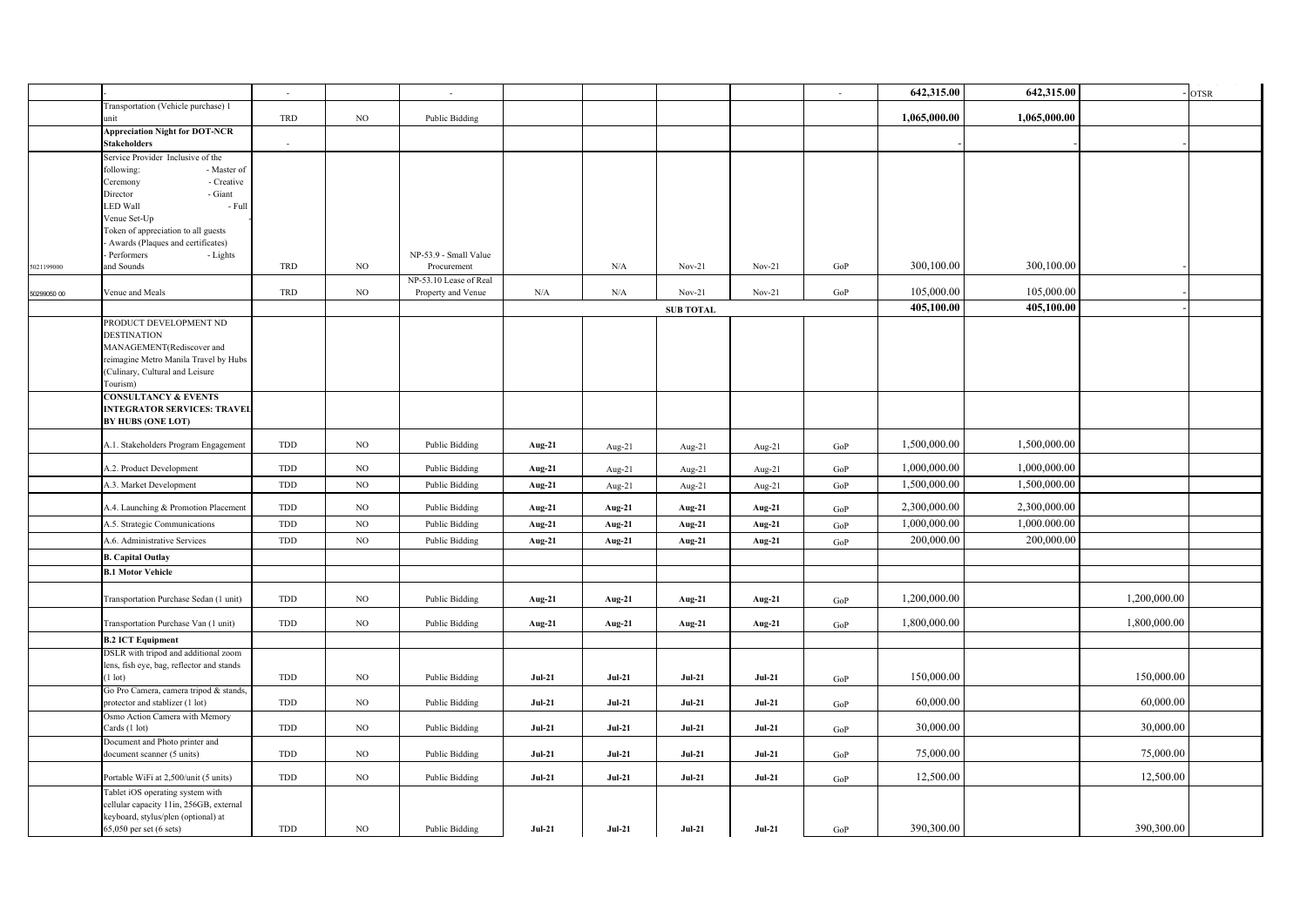|             |                                                                             |                |             |                        |           |           |                  |          |           |              |              |              | ----- <i>------</i> - |
|-------------|-----------------------------------------------------------------------------|----------------|-------------|------------------------|-----------|-----------|------------------|----------|-----------|--------------|--------------|--------------|-----------------------|
|             |                                                                             | $\sim$         |             | $\blacksquare$         |           |           |                  |          | $\sim$    | 642,315.00   | 642,315.00   |              | <b>OTSR</b>           |
|             | Transportation (Vehicle purchase) 1<br>unit                                 | TRD            | NO          | <b>Public Bidding</b>  |           |           |                  |          |           | 1,065,000.00 | 1,065,000.00 |              |                       |
|             | <b>Appreciation Night for DOT-NCR</b><br><b>Stakeholders</b>                | $\blacksquare$ |             |                        |           |           |                  |          |           |              |              |              |                       |
|             | Service Provider Inclusive of the                                           |                |             |                        |           |           |                  |          |           |              |              |              |                       |
|             | following:<br>- Master of<br>- Creative<br>Ceremony                         |                |             |                        |           |           |                  |          |           |              |              |              |                       |
|             | - Giant<br>Director                                                         |                |             |                        |           |           |                  |          |           |              |              |              |                       |
|             | <b>LED Wall</b><br>- Full                                                   |                |             |                        |           |           |                  |          |           |              |              |              |                       |
|             | Venue Set-Up                                                                |                |             |                        |           |           |                  |          |           |              |              |              |                       |
|             | Token of appreciation to all guests                                         |                |             |                        |           |           |                  |          |           |              |              |              |                       |
|             | Awards (Plaques and certificates)<br>- Lights<br>Performers                 |                |             | NP-53.9 - Small Value  |           |           |                  |          |           |              |              |              |                       |
| 5021199000  | and Sounds                                                                  | TRD            | $_{\rm NO}$ | Procurement            |           | $\rm N/A$ | $Nov-21$         | $Nov-21$ | GoP       | 300,100.00   | 300,100.00   |              |                       |
|             |                                                                             |                |             | NP-53.10 Lease of Real |           |           |                  |          |           |              |              |              |                       |
| 50299050 00 | Venue and Meals                                                             | TRD            | $_{\rm NO}$ | Property and Venue     | $\rm N/A$ | $\rm N/A$ | $Nov-21$         | $Nov-21$ | GoP       | 105,000.00   | 105,000.00   |              |                       |
|             |                                                                             |                |             |                        |           |           | <b>SUB TOTAL</b> |          |           | 405,100.00   | 405,100.00   |              |                       |
|             | PRODUCT DEVELOPMENT ND                                                      |                |             |                        |           |           |                  |          |           |              |              |              |                       |
|             | <b>DESTINATION</b><br>MANAGEMENT(Rediscover and                             |                |             |                        |           |           |                  |          |           |              |              |              |                       |
|             | reimagine Metro Manila Travel by Hubs                                       |                |             |                        |           |           |                  |          |           |              |              |              |                       |
|             | (Culinary, Cultural and Leisure                                             |                |             |                        |           |           |                  |          |           |              |              |              |                       |
|             | Tourism)                                                                    |                |             |                        |           |           |                  |          |           |              |              |              |                       |
|             | <b>CONSULTANCY &amp; EVENTS</b>                                             |                |             |                        |           |           |                  |          |           |              |              |              |                       |
|             | <b>INTEGRATOR SERVICES: TRAVEL</b>                                          |                |             |                        |           |           |                  |          |           |              |              |              |                       |
|             | <b>BY HUBS (ONE LOT)</b>                                                    |                |             |                        |           |           |                  |          |           |              |              |              |                       |
|             | A.1. Stakeholders Program Engagement                                        | TDD            | NO          | <b>Public Bidding</b>  | Aug-21    | Aug-21    | Aug-21           | Aug-21   | GoP       | 1,500,000.00 | 1,500,000.00 |              |                       |
|             | A.2. Product Development                                                    | TDD            | $_{\rm NO}$ | <b>Public Bidding</b>  | Aug-21    | Aug-21    | Aug-21           | Aug-21   | GoP       | 1,000,000.00 | 1,000,000.00 |              |                       |
|             | A.3. Market Development                                                     | TDD            | $_{\rm NO}$ | Public Bidding         | Aug-21    | Aug-21    | Aug-21           | Aug-21   | GoP       | 1,500,000.00 | 1,500,000.00 |              |                       |
|             | A.4. Launching & Promotion Placement                                        | TDD            | $_{\rm NO}$ | <b>Public Bidding</b>  | Aug-21    | Aug-21    | Aug-21           | Aug-21   | GoP       | 2,300,000.00 | 2,300,000.00 |              |                       |
|             | A.5. Strategic Communications                                               | TDD            | $_{\rm NO}$ | Public Bidding         | Aug-21    | Aug-21    | Aug-21           | Aug-21   | $\rm GoP$ | 1,000,000.00 | 1,000.000.00 |              |                       |
|             | A.6. Administrative Services                                                | TDD            | NO          | <b>Public Bidding</b>  | Aug-21    | Aug-21    | Aug-21           | Aug-21   | GoP       | 200,000.00   | 200,000.00   |              |                       |
|             | <b>B.</b> Capital Outlay                                                    |                |             |                        |           |           |                  |          |           |              |              |              |                       |
|             | <b>B.1 Motor Vehicle</b>                                                    |                |             |                        |           |           |                  |          |           |              |              |              |                       |
|             |                                                                             |                |             |                        |           |           |                  |          |           |              |              |              |                       |
|             | Transportation Purchase Sedan (1 unit)                                      | TDD            | $_{\rm NO}$ | <b>Public Bidding</b>  | Aug-21    | Aug-21    | Aug-21           | Aug-21   | $\rm GoP$ | 1,200,000.00 |              | 1,200,000.00 |                       |
|             | Transportation Purchase Van (1 unit)                                        | TDD            | NO          | <b>Public Bidding</b>  | Aug-21    | Aug-21    | Aug-21           | Aug-21   | GoP       | 1,800,000.00 |              | 1,800,000.00 |                       |
|             | <b>B.2 ICT Equipment</b>                                                    |                |             |                        |           |           |                  |          |           |              |              |              |                       |
|             | DSLR with tripod and additional zoom                                        |                |             |                        |           |           |                  |          |           |              |              |              |                       |
|             | lens, fish eye, bag, reflector and stands<br>$(1$ lot)                      | TDD            | NO          | Public Bidding         | $Jul-21$  | $Jul-21$  | $Jul-21$         | $Jul-21$ |           | 150,000.00   |              | 150,000.00   |                       |
|             | Go Pro Camera, camera tripod & stands,                                      |                |             |                        |           |           |                  |          | GoP       |              |              |              |                       |
|             | protector and stablizer (1 lot)                                             | TDD            | NO          | <b>Public Bidding</b>  | $Jul-21$  | $Jul-21$  | $Jul-21$         | $Jul-21$ | GoP       | 60,000.00    |              | 60,000.00    |                       |
|             | Osmo Action Camera with Memory                                              |                |             |                        |           |           |                  |          |           |              |              |              |                       |
|             | Cards (1 lot)                                                               | TDD            | $_{\rm NO}$ | <b>Public Bidding</b>  | $Jul-21$  | $Jul-21$  | $Jul-21$         | $Jul-21$ | GoP       | 30,000.00    |              | 30,000.00    |                       |
|             | Document and Photo printer and<br>document scanner (5 units)                | TDD            | NO          | Public Bidding         | $Jul-21$  | $Jul-21$  | $Jul-21$         | $Jul-21$ | GoP       | 75,000.00    |              | 75,000.00    |                       |
|             |                                                                             |                |             |                        |           |           |                  |          |           |              |              |              |                       |
|             | Portable WiFi at 2,500/unit (5 units)                                       | TDD            | NO          | <b>Public Bidding</b>  | $Jul-21$  | $Jul-21$  | $Jul-21$         | $Jul-21$ | GoP       | 12,500.00    |              | 12,500.00    |                       |
|             | Tablet iOS operating system with<br>cellular capacity 11in, 256GB, external |                |             |                        |           |           |                  |          |           |              |              |              |                       |
|             | keyboard, stylus/plen (optional) at                                         |                |             |                        |           |           |                  |          |           |              |              |              |                       |
|             | 65,050 per set (6 sets)                                                     | TDD            | NO.         | Public Bidding         | $Jul-21$  | $Jul-21$  | <b>Jul-21</b>    | $Jul-21$ | GoP       | 390,300.00   |              | 390,300.00   |                       |
|             |                                                                             |                |             |                        |           |           |                  |          |           |              |              |              |                       |